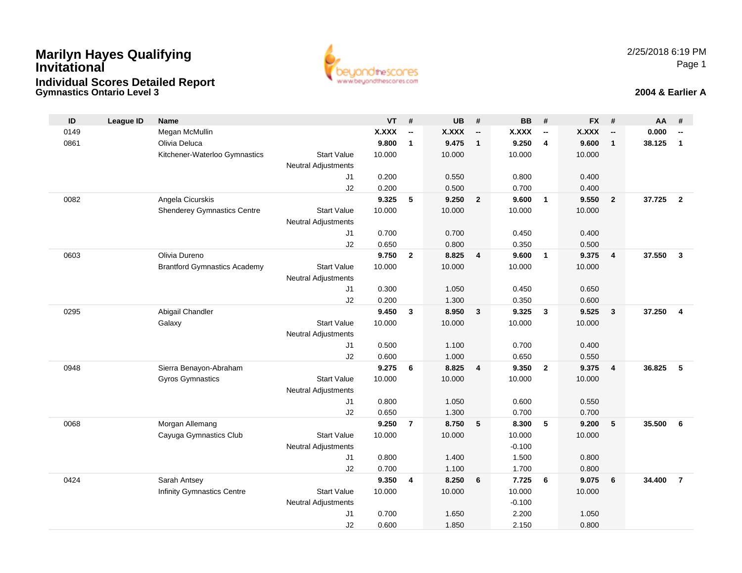### **Gymnastics Ontario Level 3 2004 & Earlier AMarilyn Hayes Qualifying InvitationalIndividual Scores Detailed Report**



| ID   | <b>League ID</b> | <b>Name</b>                         |                            | <b>VT</b>    | #                        | <b>UB</b>    | #                        | <b>BB</b>    | #                        | <b>FX</b>    | #                        | AA     | #              |
|------|------------------|-------------------------------------|----------------------------|--------------|--------------------------|--------------|--------------------------|--------------|--------------------------|--------------|--------------------------|--------|----------------|
| 0149 |                  | Megan McMullin                      |                            | <b>X.XXX</b> | $\overline{\phantom{a}}$ | <b>X.XXX</b> | $\overline{\phantom{a}}$ | <b>X.XXX</b> | $\overline{\phantom{a}}$ | <b>X.XXX</b> | $\overline{\phantom{a}}$ | 0.000  | --             |
| 0861 |                  | Olivia Deluca                       |                            | 9.800        | $\mathbf{1}$             | 9.475        | $\overline{1}$           | 9.250        | $\overline{4}$           | 9.600        | $\mathbf{1}$             | 38.125 | $\mathbf{1}$   |
|      |                  | Kitchener-Waterloo Gymnastics       | <b>Start Value</b>         | 10.000       |                          | 10.000       |                          | 10.000       |                          | 10.000       |                          |        |                |
|      |                  |                                     | <b>Neutral Adjustments</b> |              |                          |              |                          |              |                          |              |                          |        |                |
|      |                  |                                     | J1                         | 0.200        |                          | 0.550        |                          | 0.800        |                          | 0.400        |                          |        |                |
|      |                  |                                     | J2                         | 0.200        |                          | 0.500        |                          | 0.700        |                          | 0.400        |                          |        |                |
| 0082 |                  | Angela Cicurskis                    |                            | 9.325        | 5                        | 9.250        | $\overline{2}$           | 9.600        | $\mathbf{1}$             | 9.550        | $\overline{2}$           | 37.725 | $\overline{2}$ |
|      |                  | <b>Shenderey Gymnastics Centre</b>  | <b>Start Value</b>         | 10.000       |                          | 10.000       |                          | 10.000       |                          | 10.000       |                          |        |                |
|      |                  |                                     | <b>Neutral Adjustments</b> |              |                          |              |                          |              |                          |              |                          |        |                |
|      |                  |                                     | J1                         | 0.700        |                          | 0.700        |                          | 0.450        |                          | 0.400        |                          |        |                |
|      |                  |                                     | J2                         | 0.650        |                          | 0.800        |                          | 0.350        |                          | 0.500        |                          |        |                |
| 0603 |                  | Olivia Dureno                       |                            | 9.750        | $\overline{2}$           | 8.825        | $\overline{4}$           | 9.600        | $\overline{1}$           | 9.375        | $\overline{\mathbf{4}}$  | 37.550 | $\mathbf{3}$   |
|      |                  | <b>Brantford Gymnastics Academy</b> | <b>Start Value</b>         | 10.000       |                          | 10.000       |                          | 10.000       |                          | 10.000       |                          |        |                |
|      |                  |                                     | Neutral Adjustments        |              |                          |              |                          |              |                          |              |                          |        |                |
|      |                  |                                     | J1                         | 0.300        |                          | 1.050        |                          | 0.450        |                          | 0.650        |                          |        |                |
|      |                  |                                     | J2                         | 0.200        |                          | 1.300        |                          | 0.350        |                          | 0.600        |                          |        |                |
| 0295 |                  | Abigail Chandler                    |                            | 9.450        | 3                        | 8.950        | $\mathbf{3}$             | 9.325        | $\mathbf{3}$             | 9.525        | 3                        | 37.250 | $\overline{4}$ |
|      |                  | Galaxy                              | <b>Start Value</b>         | 10.000       |                          | 10.000       |                          | 10.000       |                          | 10.000       |                          |        |                |
|      |                  |                                     | <b>Neutral Adjustments</b> |              |                          |              |                          |              |                          |              |                          |        |                |
|      |                  |                                     | J1                         | 0.500        |                          | 1.100        |                          | 0.700        |                          | 0.400        |                          |        |                |
|      |                  |                                     | J2                         | 0.600        |                          | 1.000        |                          | 0.650        |                          | 0.550        |                          |        |                |
| 0948 |                  | Sierra Benayon-Abraham              |                            | 9.275        | 6                        | 8.825        | $\overline{4}$           | 9.350        | $\overline{2}$           | 9.375        | $\overline{4}$           | 36.825 | 5              |
|      |                  | Gyros Gymnastics                    | <b>Start Value</b>         | 10.000       |                          | 10.000       |                          | 10.000       |                          | 10.000       |                          |        |                |
|      |                  |                                     | <b>Neutral Adjustments</b> |              |                          |              |                          |              |                          |              |                          |        |                |
|      |                  |                                     | J <sub>1</sub>             | 0.800        |                          | 1.050        |                          | 0.600        |                          | 0.550        |                          |        |                |
|      |                  |                                     | J2                         | 0.650        |                          | 1.300        |                          | 0.700        |                          | 0.700        |                          |        |                |
| 0068 |                  | Morgan Allemang                     |                            | 9.250        | $\overline{7}$           | 8.750        | 5                        | 8.300        | 5                        | 9.200        | 5                        | 35.500 | 6              |
|      |                  | Cayuga Gymnastics Club              | <b>Start Value</b>         | 10.000       |                          | 10.000       |                          | 10.000       |                          | 10.000       |                          |        |                |
|      |                  |                                     | <b>Neutral Adjustments</b> |              |                          |              |                          | $-0.100$     |                          |              |                          |        |                |
|      |                  |                                     | J1                         | 0.800        |                          | 1.400        |                          | 1.500        |                          | 0.800        |                          |        |                |
|      |                  |                                     | J2                         | 0.700        |                          | 1.100        |                          | 1.700        |                          | 0.800        |                          |        |                |
| 0424 |                  | Sarah Antsey                        |                            | 9.350        | 4                        | 8.250        | 6                        | 7.725        | 6                        | 9.075        | 6                        | 34.400 | $\overline{7}$ |
|      |                  | <b>Infinity Gymnastics Centre</b>   | <b>Start Value</b>         | 10.000       |                          | 10.000       |                          | 10.000       |                          | 10.000       |                          |        |                |
|      |                  |                                     | <b>Neutral Adjustments</b> |              |                          |              |                          | $-0.100$     |                          |              |                          |        |                |
|      |                  |                                     | J1                         | 0.700        |                          | 1.650        |                          | 2.200        |                          | 1.050        |                          |        |                |
|      |                  |                                     | J2                         | 0.600        |                          | 1.850        |                          | 2.150        |                          | 0.800        |                          |        |                |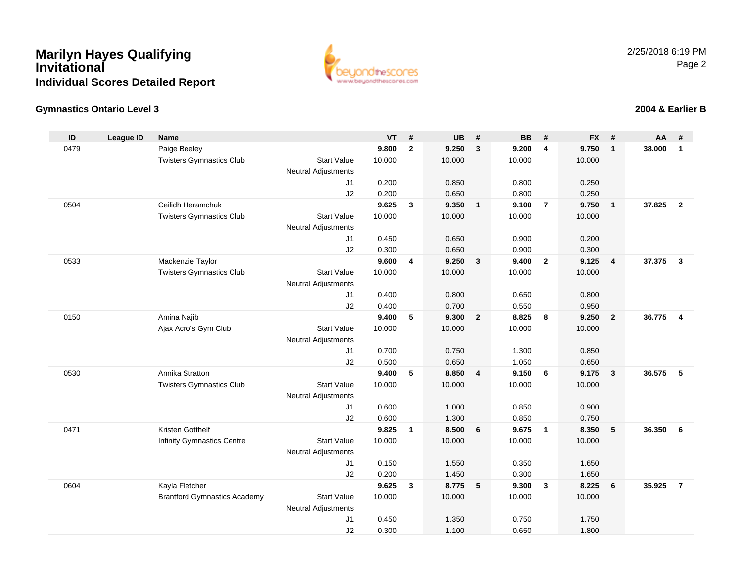

#### **Gymnastics Ontario Level 3**

#### **ID League ID Name VT # UB # BB # FX # AA #** 0479 Paige Beeley **9.800 <sup>2</sup> 9.250 <sup>3</sup> 9.200 <sup>4</sup> 9.750 <sup>1</sup> 38.000 <sup>1</sup>** Twisters Gymnastics Clubb 3tart Value 10.000 10.000 10.000 10.000 10.000 Neutral Adjustments J1 0.200 0.850 0.800 0.250 J2 0.200 0.650 0.800 0.250 0504 Ceilidh Heramchuk **9.625 <sup>3</sup> 9.350 <sup>1</sup> 9.100 <sup>7</sup> 9.750 <sup>1</sup> 37.825 <sup>2</sup>** Twisters Gymnastics Clubb 3tart Value 10.000 10.000 10.000 10.000 10.000 Neutral Adjustments J1 0.450 0.650 0.900 0.200 J2 0.300 0.650 0.900 0.300 0533 Mackenzie Taylor **9.600 <sup>4</sup> 9.250 <sup>3</sup> 9.400 <sup>2</sup> 9.125 <sup>4</sup> 37.375 <sup>3</sup>** Twisters Gymnastics Clubb 3tart Value 10.000 10.000 10.000 10.000 10.000 Neutral Adjustments J1 0.400 0.800 0.650 0.800 J2 0.400 0.700 0.550 0.950 0150 Amina Najib **9.400 <sup>5</sup> 9.300 <sup>2</sup> 8.825 <sup>8</sup> 9.250 <sup>2</sup> 36.775 <sup>4</sup>** Ajax Acro's Gym Club Start Value 10.000 10.000 10.000 10.000 Neutral Adjustments J1 0.700 0.750 1.300 0.850 J2 0.500 0.650 1.050 0.650 0530 Annika Stratton **9.400 <sup>5</sup> 8.850 <sup>4</sup> 9.150 <sup>6</sup> 9.175 <sup>3</sup> 36.575 <sup>5</sup>** Twisters Gymnastics Clubb 3tart Value 10.000 10.000 10.000 10.000 10.000 Neutral Adjustments J1 0.600 1.000 0.850 0.900 J2 0.600 1.300 0.850 0.750 0471 Kristen Gotthelf **9.825 <sup>1</sup> 8.500 <sup>6</sup> 9.675 <sup>1</sup> 8.350 <sup>5</sup> 36.350 <sup>6</sup>** Infinity Gymnastics Centre Start Value 10.000 10.000 10.000 10.000 Neutral AdjustmentsJ1 0.150 1.550 0.350 1.650 J2 0.200 1.450 0.300 1.650 0604 Kayla Fletcher **9.625 <sup>3</sup> 8.775 <sup>5</sup> 9.300 <sup>3</sup> 8.225 <sup>6</sup> 35.925 <sup>7</sup>** Brantford Gymnastics Academy Start Valuee 10.000 10.000 10.000 10.000 Neutral Adjustments J1 0.450 1.350 0.750 1.750 J20.300 1.100 0.650 1.800

### **2004 & Earlier B**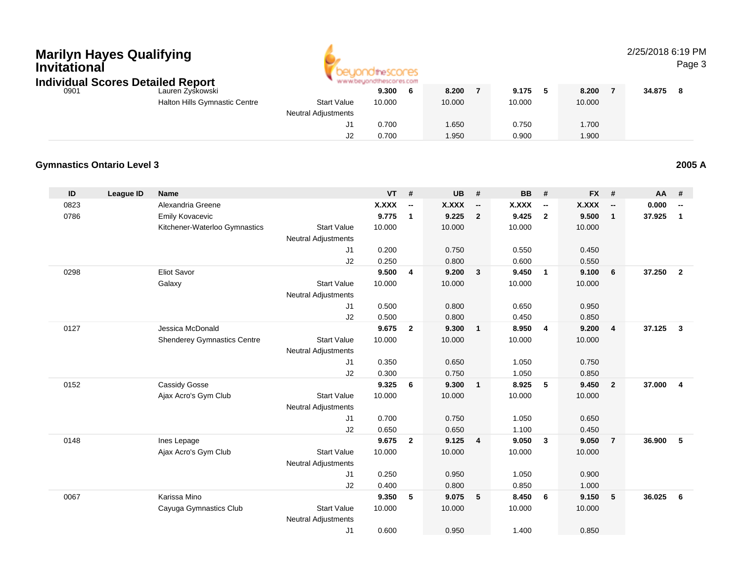| Invitational | <b>Marilyn Hayes Qualifying</b>   | <b>Individual Scores Detailed Report</b> |                                                  | www.beyondthescores.com |                          |           |                          |           |                          |           |                          | 2/25/2018 6:19 PM | Page 3                  |
|--------------|-----------------------------------|------------------------------------------|--------------------------------------------------|-------------------------|--------------------------|-----------|--------------------------|-----------|--------------------------|-----------|--------------------------|-------------------|-------------------------|
| 0901         |                                   | Lauren Zyskowski                         |                                                  | 9.300                   | 6                        | 8.200     | $\overline{7}$           | 9.175     | 5                        | 8.200     | $\overline{7}$           | 34.875            | 8                       |
|              |                                   | Halton Hills Gymnastic Centre            | <b>Start Value</b>                               | 10.000                  |                          | 10.000    |                          | 10.000    |                          | 10.000    |                          |                   |                         |
|              |                                   |                                          | <b>Neutral Adjustments</b>                       |                         |                          |           |                          |           |                          |           |                          |                   |                         |
|              |                                   |                                          | J1                                               | 0.700                   |                          | 1.650     |                          | 0.750     |                          | 1.700     |                          |                   |                         |
|              |                                   |                                          | J2                                               | 0.700                   |                          | 1.950     |                          | 0.900     |                          | 1.900     |                          |                   |                         |
|              | <b>Gymnastics Ontario Level 3</b> |                                          |                                                  |                         |                          |           |                          |           |                          |           |                          |                   | 2005 A                  |
| ID           | League ID                         | <b>Name</b>                              |                                                  | $VT$ #                  |                          | <b>UB</b> | #                        | <b>BB</b> | #                        | <b>FX</b> | #                        | AA                | #                       |
| 0823         |                                   | Alexandria Greene                        |                                                  | X.XXX                   | $\overline{\phantom{a}}$ | X.XXX     | $\overline{\phantom{a}}$ | X.XXX     | $\overline{\phantom{a}}$ | X.XXX     | $\overline{\phantom{a}}$ | 0.000             |                         |
| 0786         |                                   | <b>Emily Kovacevic</b>                   |                                                  | 9.775                   | $\overline{1}$           | 9.225     | $\overline{2}$           | 9.425     | $\overline{2}$           | 9.500     | $\mathbf{1}$             | 37.925            | $\overline{1}$          |
|              |                                   | Kitchener-Waterloo Gymnastics            | <b>Start Value</b><br><b>Neutral Adjustments</b> | 10.000                  |                          | 10.000    |                          | 10.000    |                          | 10.000    |                          |                   |                         |
|              |                                   |                                          | J1                                               | 0.200                   |                          | 0.750     |                          | 0.550     |                          | 0.450     |                          |                   |                         |
|              |                                   |                                          | J2                                               | 0.250                   |                          | 0.800     |                          | 0.600     |                          | 0.550     |                          |                   |                         |
| 0298         |                                   | <b>Eliot Savor</b>                       |                                                  | 9.500                   | 4                        | 9.200     | $\mathbf{3}$             | 9.450     | $\mathbf{1}$             | 9.100     | 6                        | 37.250            | $\overline{2}$          |
|              |                                   | Galaxy                                   | <b>Start Value</b>                               | 10.000                  |                          | 10.000    |                          | 10.000    |                          | 10.000    |                          |                   |                         |
|              |                                   |                                          | <b>Neutral Adjustments</b>                       |                         |                          |           |                          |           |                          |           |                          |                   |                         |
|              |                                   |                                          | J1                                               | 0.500                   |                          | 0.800     |                          | 0.650     |                          | 0.950     |                          |                   |                         |
|              |                                   |                                          | J2                                               | 0.500                   |                          | 0.800     |                          | 0.450     |                          | 0.850     |                          |                   |                         |
| 0127         |                                   | Jessica McDonald                         |                                                  | 9.675                   | $\overline{2}$           | 9.300     | $\overline{1}$           | 8.950     | $\overline{4}$           | 9.200     | $\overline{4}$           | 37.125            | $\overline{\mathbf{3}}$ |
|              |                                   | <b>Shenderey Gymnastics Centre</b>       | <b>Start Value</b>                               | 10.000                  |                          | 10.000    |                          | 10.000    |                          | 10.000    |                          |                   |                         |
|              |                                   |                                          | <b>Neutral Adjustments</b>                       |                         |                          |           |                          |           |                          |           |                          |                   |                         |
|              |                                   |                                          | J1                                               | 0.350                   |                          | 0.650     |                          | 1.050     |                          | 0.750     |                          |                   |                         |
|              |                                   |                                          | J2                                               | 0.300                   |                          | 0.750     |                          | 1.050     |                          | 0.850     |                          |                   |                         |
| 0152         |                                   | Cassidy Gosse                            |                                                  | 9.325                   | 6                        | 9.300     | $\overline{\mathbf{1}}$  | 8.925     | 5                        | 9.450     | $\overline{2}$           | 37.000            | $\overline{4}$          |
|              |                                   | Ajax Acro's Gym Club                     | <b>Start Value</b><br><b>Neutral Adjustments</b> | 10.000                  |                          | 10.000    |                          | 10.000    |                          | 10.000    |                          |                   |                         |
|              |                                   |                                          | J1                                               | 0.700                   |                          | 0.750     |                          | 1.050     |                          | 0.650     |                          |                   |                         |
|              |                                   |                                          | J2                                               | 0.650                   |                          | 0.650     |                          | 1.100     |                          | 0.450     |                          |                   |                         |
| 0148         |                                   | Ines Lepage                              |                                                  | 9.675                   | $\overline{2}$           | 9.125     | $\overline{4}$           | 9.050     | 3                        | 9.050     | $\overline{7}$           | 36.900            | -5                      |
|              |                                   | Ajax Acro's Gym Club                     | <b>Start Value</b><br><b>Neutral Adjustments</b> | 10.000                  |                          | 10.000    |                          | 10.000    |                          | 10.000    |                          |                   |                         |
|              |                                   |                                          | J1                                               | 0.250                   |                          | 0.950     |                          | 1.050     |                          | 0.900     |                          |                   |                         |
|              |                                   |                                          | J2                                               | 0.400                   |                          | 0.800     |                          | 0.850     |                          | 1.000     |                          |                   |                         |
| 0067         |                                   | Karissa Mino                             |                                                  | 9.350                   | 5                        | 9.075     | 5                        | 8.450     | 6                        | 9.150     | 5                        | 36.025            | 6                       |
|              |                                   | Cayuga Gymnastics Club                   | <b>Start Value</b><br><b>Neutral Adjustments</b> | 10.000                  |                          | 10.000    |                          | 10.000    |                          | 10.000    |                          |                   |                         |

◢

J1

0.600 0.950 1.400 0.850

2/25/2018 6:19 PM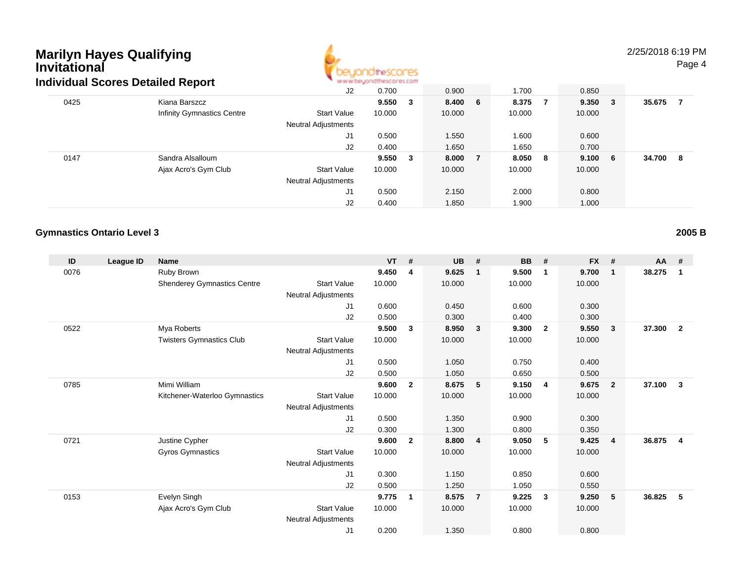

### 2/25/2018 6:19 PM

Page 4

|                            | J2                               | 0.700  |              | 0.900                                                  | 1.700              | 0.850      |        |        |   |
|----------------------------|----------------------------------|--------|--------------|--------------------------------------------------------|--------------------|------------|--------|--------|---|
| Kiana Barszcz              |                                  |        | $\mathbf{3}$ |                                                        | 8.375              | 9.350      | $_{3}$ | 35.675 |   |
| Infinity Gymnastics Centre | <b>Start Value</b>               | 10.000 |              | 10.000                                                 | 10.000             | 10.000     |        |        |   |
|                            | <b>Neutral Adjustments</b>       |        |              |                                                        |                    |            |        |        |   |
|                            | J1                               | 0.500  |              | 1.550                                                  | 1.600              | 0.600      |        |        |   |
|                            | J2                               | 0.400  |              | 1.650                                                  | 1.650              | 0.700      |        |        |   |
| Sandra Alsalloum           |                                  |        | - 3          |                                                        | 8.050              | 9.100      |        | 34.700 | 8 |
| Ajax Acro's Gym Club       | <b>Start Value</b>               | 10.000 |              | 10.000                                                 | 10.000             | 10.000     |        |        |   |
|                            | <b>Neutral Adjustments</b>       |        |              |                                                        |                    |            |        |        |   |
|                            | J1                               | 0.500  |              | 2.150                                                  | 2.000              | 0.800      |        |        |   |
|                            | J <sub>2</sub>                   | 0.400  |              | 1.850                                                  | 1.900              | 1.000      |        |        |   |
|                            | idividual Scores Detailed Report |        |              | <b>M.M.MCAMANI INTERNATI ILIYUTI</b><br>9.550<br>9.550 | 8.400 6<br>8.000 7 | - 7<br>- 8 |        | - 6    |   |

#### **Gymnastics Ontario Level 3**

**ID League ID Name VT # UB # BB # FX # AA #** 0076 Ruby Brown **9.450 <sup>4</sup> 9.625 <sup>1</sup> 9.500 <sup>1</sup> 9.700 <sup>1</sup> 38.275 <sup>1</sup>** Shenderey Gymnastics Centre Start Value 10.000 10.000 10.000 10.000 Neutral Adjustments J1 0.600 0.450 0.600 0.300 J2 0.500 0.300 0.400 0.300 0522 Mya Roberts **9.500 <sup>3</sup> 8.950 <sup>3</sup> 9.300 <sup>2</sup> 9.550 <sup>3</sup> 37.300 <sup>2</sup>** Twisters Gymnastics Clubb 3tart Value 10.000 10.000 10.000 10.000 10.000 Neutral Adjustments J1 0.500 1.050 0.750 0.400 J2 0.500 1.050 0.650 0.500 0785 Mimi William **9.600 <sup>2</sup> 8.675 <sup>5</sup> 9.150 <sup>4</sup> 9.675 <sup>2</sup> 37.100 <sup>3</sup>** Kitchener-Waterloo Gymnastics Start Valuee 10.000 10.000 10.000 10.000 Neutral Adjustments J1 0.500 1.350 0.900 0.300 J2 0.300 1.300 0.800 0.350 0721 Justine Cypher **9.600 <sup>2</sup> 8.800 <sup>4</sup> 9.050 <sup>5</sup> 9.425 <sup>4</sup> 36.875 <sup>4</sup>** Gyros Gymnastics Start Valuee 10.000 10.000 10.000 10.000 Neutral Adjustments J1 0.300 1.150 0.850 0.600 J2 0.500 1.250 1.050 0.550 0153 Evelyn Singh **9.775 <sup>1</sup> 8.575 <sup>7</sup> 9.225 <sup>3</sup> 9.250 <sup>5</sup> 36.825 <sup>5</sup>** Ajax Acro's Gym Club Start Value 10.000 10.000 10.000 10.000 Neutral Adjustments J10.200 1.350 0.800 0.800

**2005 B**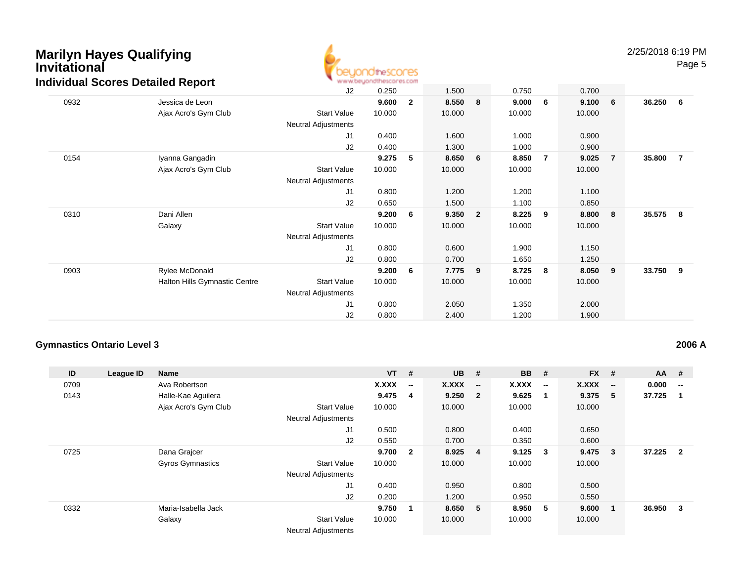

Page 5

|      |                               | J2                         | 0.250  |              | 1.500  |                | 0.750  |                | 0.700  |                 |        |                |
|------|-------------------------------|----------------------------|--------|--------------|--------|----------------|--------|----------------|--------|-----------------|--------|----------------|
| 0932 | Jessica de Leon               |                            | 9.600  | $\mathbf{2}$ | 8.550  | 8              | 9.000  | 6              | 9.100  | $6\overline{6}$ | 36.250 | 6              |
|      | Ajax Acro's Gym Club          | <b>Start Value</b>         | 10.000 |              | 10.000 |                | 10.000 |                | 10.000 |                 |        |                |
|      |                               | <b>Neutral Adjustments</b> |        |              |        |                |        |                |        |                 |        |                |
|      |                               | J <sub>1</sub>             | 0.400  |              | 1.600  |                | 1.000  |                | 0.900  |                 |        |                |
|      |                               | J2                         | 0.400  |              | 1.300  |                | 1.000  |                | 0.900  |                 |        |                |
| 0154 | Iyanna Gangadin               |                            | 9.275  | 5            | 8.650  | 6              | 8.850  | $\overline{7}$ | 9.025  | $\overline{7}$  | 35.800 | $\overline{7}$ |
|      | Ajax Acro's Gym Club          | <b>Start Value</b>         | 10.000 |              | 10.000 |                | 10.000 |                | 10.000 |                 |        |                |
|      |                               | <b>Neutral Adjustments</b> |        |              |        |                |        |                |        |                 |        |                |
|      |                               | J1                         | 0.800  |              | 1.200  |                | 1.200  |                | 1.100  |                 |        |                |
|      |                               | J2                         | 0.650  |              | 1.500  |                | 1.100  |                | 0.850  |                 |        |                |
| 0310 | Dani Allen                    |                            | 9.200  | 6            | 9.350  | $\overline{2}$ | 8.225  | 9              | 8.800  | 8               | 35.575 | - 8            |
|      | Galaxy                        | <b>Start Value</b>         | 10.000 |              | 10.000 |                | 10.000 |                | 10.000 |                 |        |                |
|      |                               | <b>Neutral Adjustments</b> |        |              |        |                |        |                |        |                 |        |                |
|      |                               | J1                         | 0.800  |              | 0.600  |                | 1.900  |                | 1.150  |                 |        |                |
|      |                               | J2                         | 0.800  |              | 0.700  |                | 1.650  |                | 1.250  |                 |        |                |
| 0903 | Rylee McDonald                |                            | 9.200  | 6            | 7.775  | 9              | 8.725  | 8              | 8.050  | - 9             | 33.750 | - 9            |
|      | Halton Hills Gymnastic Centre | <b>Start Value</b>         | 10.000 |              | 10.000 |                | 10.000 |                | 10.000 |                 |        |                |
|      |                               | Neutral Adjustments        |        |              |        |                |        |                |        |                 |        |                |
|      |                               | J1                         | 0.800  |              | 2.050  |                | 1.350  |                | 2.000  |                 |        |                |
|      |                               | J2                         | 0.800  |              | 2.400  |                | 1.200  |                | 1.900  |                 |        |                |

#### **Gymnastics Ontario Level 3**

**2006 A**

| ID   | League ID | Name                    |                            | <b>VT</b>    | #                        | <b>UB</b> | #                        | <b>BB</b> | #                       | $FX$ # |                          | <b>AA</b> | #                        |
|------|-----------|-------------------------|----------------------------|--------------|--------------------------|-----------|--------------------------|-----------|-------------------------|--------|--------------------------|-----------|--------------------------|
| 0709 |           | Ava Robertson           |                            | <b>X.XXX</b> | $\overline{\phantom{a}}$ | X.XXX     | $\overline{\phantom{a}}$ | X.XXX     | $\sim$                  | X.XXX  | $\overline{\phantom{a}}$ | 0.000     | $\overline{\phantom{a}}$ |
| 0143 |           | Halle-Kae Aguilera      |                            | 9.475        | $\overline{4}$           | 9.250     | $\overline{\mathbf{2}}$  | 9.625     |                         | 9.375  | - 5                      | 37.725    | -1                       |
|      |           | Ajax Acro's Gym Club    | <b>Start Value</b>         | 10.000       |                          | 10.000    |                          | 10.000    |                         | 10.000 |                          |           |                          |
|      |           |                         | <b>Neutral Adjustments</b> |              |                          |           |                          |           |                         |        |                          |           |                          |
|      |           |                         | J1                         | 0.500        |                          | 0.800     |                          | 0.400     |                         | 0.650  |                          |           |                          |
|      |           |                         | J2                         | 0.550        |                          | 0.700     |                          | 0.350     |                         | 0.600  |                          |           |                          |
| 0725 |           | Dana Grajcer            |                            | 9.700        | $\mathbf{2}$             | 8.925     | $\overline{\mathbf{4}}$  | 9.125     | $\overline{\mathbf{3}}$ | 9.475  | $\overline{\mathbf{3}}$  | 37.225    | $\overline{\mathbf{2}}$  |
|      |           | <b>Gyros Gymnastics</b> | <b>Start Value</b>         | 10.000       |                          | 10.000    |                          | 10.000    |                         | 10.000 |                          |           |                          |
|      |           |                         | <b>Neutral Adjustments</b> |              |                          |           |                          |           |                         |        |                          |           |                          |
|      |           |                         | J1                         | 0.400        |                          | 0.950     |                          | 0.800     |                         | 0.500  |                          |           |                          |
|      |           |                         | J2                         | 0.200        |                          | 1.200     |                          | 0.950     |                         | 0.550  |                          |           |                          |
| 0332 |           | Maria-Isabella Jack     |                            | 9.750        | $\mathbf 1$              | 8.650 5   |                          | 8.950     | 5                       | 9.600  | $\blacksquare$           | 36.950    | - 3                      |
|      |           | Galaxy                  | <b>Start Value</b>         | 10.000       |                          | 10.000    |                          | 10.000    |                         | 10.000 |                          |           |                          |
|      |           |                         | <b>Neutral Adjustments</b> |              |                          |           |                          |           |                         |        |                          |           |                          |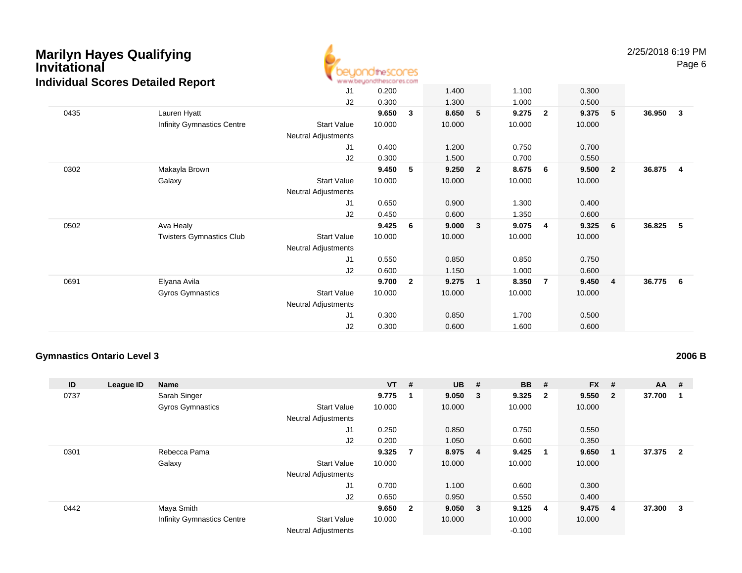

|      | dividual Occides Detailed Report |                            |        |                |        |                |        |                |        |                         |        |              |
|------|----------------------------------|----------------------------|--------|----------------|--------|----------------|--------|----------------|--------|-------------------------|--------|--------------|
|      |                                  | J1                         | 0.200  |                | 1.400  |                | 1.100  |                | 0.300  |                         |        |              |
|      |                                  | J2                         | 0.300  |                | 1.300  |                | 1.000  |                | 0.500  |                         |        |              |
| 0435 | Lauren Hyatt                     |                            | 9.650  | 3              | 8.650  | 5              | 9.275  | $\overline{2}$ | 9.375  | 5                       | 36.950 | $\mathbf{3}$ |
|      | Infinity Gymnastics Centre       | <b>Start Value</b>         | 10.000 |                | 10.000 |                | 10.000 |                | 10.000 |                         |        |              |
|      |                                  | Neutral Adjustments        |        |                |        |                |        |                |        |                         |        |              |
|      |                                  | J1                         | 0.400  |                | 1.200  |                | 0.750  |                | 0.700  |                         |        |              |
|      |                                  | J2                         | 0.300  |                | 1.500  |                | 0.700  |                | 0.550  |                         |        |              |
| 0302 | Makayla Brown                    |                            | 9.450  | 5              | 9.250  | $\overline{2}$ | 8.675  | - 6            | 9.500  | $\overline{\mathbf{2}}$ | 36.875 | -4           |
|      | Galaxy                           | <b>Start Value</b>         | 10.000 |                | 10.000 |                | 10.000 |                | 10.000 |                         |        |              |
|      |                                  | <b>Neutral Adjustments</b> |        |                |        |                |        |                |        |                         |        |              |
|      |                                  | J1                         | 0.650  |                | 0.900  |                | 1.300  |                | 0.400  |                         |        |              |
|      |                                  | J2                         | 0.450  |                | 0.600  |                | 1.350  |                | 0.600  |                         |        |              |
| 0502 | Ava Healy                        |                            | 9.425  | 6              | 9.000  | $\mathbf{3}$   | 9.075  | $\overline{4}$ | 9.325  | $6\phantom{.0}6$        | 36.825 | 5            |
|      | <b>Twisters Gymnastics Club</b>  | <b>Start Value</b>         | 10.000 |                | 10.000 |                | 10.000 |                | 10.000 |                         |        |              |
|      |                                  | Neutral Adjustments        |        |                |        |                |        |                |        |                         |        |              |
|      |                                  | J1                         | 0.550  |                | 0.850  |                | 0.850  |                | 0.750  |                         |        |              |
|      |                                  | J2                         | 0.600  |                | 1.150  |                | 1.000  |                | 0.600  |                         |        |              |
| 0691 | Elyana Avila                     |                            | 9.700  | $\overline{2}$ | 9.275  | $\mathbf{1}$   | 8.350  | 7              | 9.450  | $\overline{4}$          | 36.775 | - 6          |
|      | Gyros Gymnastics                 | <b>Start Value</b>         | 10.000 |                | 10.000 |                | 10.000 |                | 10.000 |                         |        |              |
|      |                                  | Neutral Adjustments        |        |                |        |                |        |                |        |                         |        |              |
|      |                                  | J <sub>1</sub>             | 0.300  |                | 0.850  |                | 1.700  |                | 0.500  |                         |        |              |
|      |                                  | J2                         | 0.300  |                | 0.600  |                | 1.600  |                | 0.600  |                         |        |              |

#### **Gymnastics Ontario Level 3**

### **2006 B**

| ID   | League ID | <b>Name</b>                       |                            | $VT$ # |                         | $UB$ #  | <b>BB</b>       | #                       | $FX$ #  |                         | <b>AA</b> | #                       |
|------|-----------|-----------------------------------|----------------------------|--------|-------------------------|---------|-----------------|-------------------------|---------|-------------------------|-----------|-------------------------|
| 0737 |           | Sarah Singer                      |                            | 9.775  | 1                       | 9.050 3 | 9.325           | $\overline{\mathbf{2}}$ | 9.550   | $\overline{\mathbf{2}}$ | 37.700    | - 1                     |
|      |           | <b>Gyros Gymnastics</b>           | <b>Start Value</b>         | 10.000 |                         | 10.000  | 10.000          |                         | 10.000  |                         |           |                         |
|      |           |                                   | <b>Neutral Adjustments</b> |        |                         |         |                 |                         |         |                         |           |                         |
|      |           |                                   | J1                         | 0.250  |                         | 0.850   | 0.750           |                         | 0.550   |                         |           |                         |
|      |           |                                   | J2                         | 0.200  |                         | 1.050   | 0.600           |                         | 0.350   |                         |           |                         |
| 0301 |           | Rebecca Pama                      |                            | 9.325  | $\overline{7}$          | 8.975 4 | 9.425           | -1                      | 9.650   | - 1                     | 37.375    | $\overline{\mathbf{2}}$ |
|      |           | Galaxy                            | <b>Start Value</b>         | 10.000 |                         | 10.000  | 10.000          |                         | 10.000  |                         |           |                         |
|      |           |                                   | <b>Neutral Adjustments</b> |        |                         |         |                 |                         |         |                         |           |                         |
|      |           |                                   | J1                         | 0.700  |                         | 1.100   | 0.600           |                         | 0.300   |                         |           |                         |
|      |           |                                   | J2                         | 0.650  |                         | 0.950   | 0.550           |                         | 0.400   |                         |           |                         |
| 0442 |           | Maya Smith                        |                            | 9.650  | $\overline{\mathbf{2}}$ | 9.050 3 | $9.125 \quad 4$ |                         | 9.475 4 |                         | 37.300    | - 3                     |
|      |           | <b>Infinity Gymnastics Centre</b> | <b>Start Value</b>         | 10.000 |                         | 10.000  | 10.000          |                         | 10.000  |                         |           |                         |
|      |           |                                   | <b>Neutral Adjustments</b> |        |                         |         | $-0.100$        |                         |         |                         |           |                         |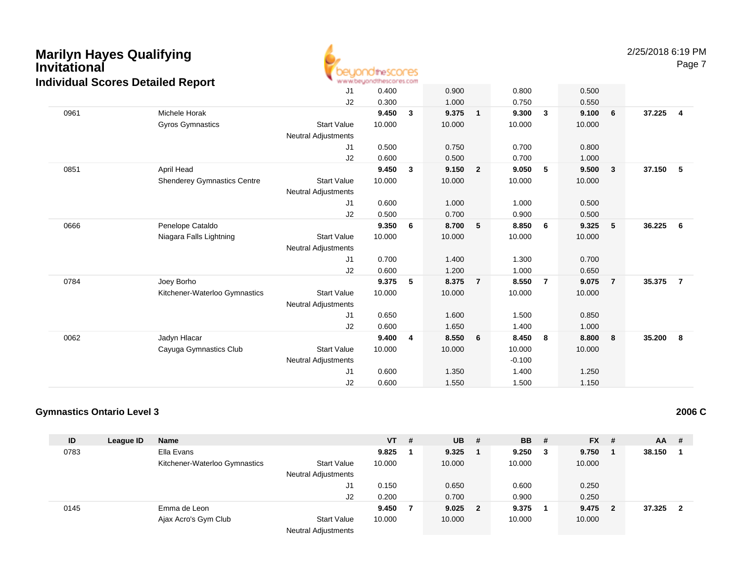

Page 7

|      |                                    | J <sub>1</sub>             | 0.400  |   | 0.900  |                | 0.800    |                | 0.500  |                         |        |                |
|------|------------------------------------|----------------------------|--------|---|--------|----------------|----------|----------------|--------|-------------------------|--------|----------------|
|      |                                    | J2                         | 0.300  |   | 1.000  |                | 0.750    |                | 0.550  |                         |        |                |
| 0961 | Michele Horak                      |                            | 9.450  | 3 | 9.375  | $\mathbf{1}$   | 9.300    | 3              | 9.100  | 6                       | 37.225 | $\overline{4}$ |
|      | <b>Gyros Gymnastics</b>            | <b>Start Value</b>         | 10.000 |   | 10.000 |                | 10.000   |                | 10.000 |                         |        |                |
|      |                                    | <b>Neutral Adjustments</b> |        |   |        |                |          |                |        |                         |        |                |
|      |                                    | J <sub>1</sub>             | 0.500  |   | 0.750  |                | 0.700    |                | 0.800  |                         |        |                |
|      |                                    | J2                         | 0.600  |   | 0.500  |                | 0.700    |                | 1.000  |                         |        |                |
| 0851 | April Head                         |                            | 9.450  | 3 | 9.150  | $\overline{2}$ | 9.050    | 5              | 9.500  | $\overline{\mathbf{3}}$ | 37.150 | $-5$           |
|      | <b>Shenderey Gymnastics Centre</b> | <b>Start Value</b>         | 10.000 |   | 10.000 |                | 10.000   |                | 10.000 |                         |        |                |
|      |                                    | <b>Neutral Adjustments</b> |        |   |        |                |          |                |        |                         |        |                |
|      |                                    | J1                         | 0.600  |   | 1.000  |                | 1.000    |                | 0.500  |                         |        |                |
|      |                                    | J2                         | 0.500  |   | 0.700  |                | 0.900    |                | 0.500  |                         |        |                |
| 0666 | Penelope Cataldo                   |                            | 9.350  | 6 | 8.700  | 5              | 8.850    | 6              | 9.325  | 5                       | 36.225 | 6              |
|      | Niagara Falls Lightning            | <b>Start Value</b>         | 10.000 |   | 10.000 |                | 10.000   |                | 10.000 |                         |        |                |
|      |                                    | <b>Neutral Adjustments</b> |        |   |        |                |          |                |        |                         |        |                |
|      |                                    | J1                         | 0.700  |   | 1.400  |                | 1.300    |                | 0.700  |                         |        |                |
|      |                                    | J <sub>2</sub>             | 0.600  |   | 1.200  |                | 1.000    |                | 0.650  |                         |        |                |
| 0784 | Joey Borho                         |                            | 9.375  | 5 | 8.375  | $\overline{7}$ | 8.550    | $\overline{7}$ | 9.075  | $\overline{7}$          | 35.375 | $\overline{7}$ |
|      | Kitchener-Waterloo Gymnastics      | <b>Start Value</b>         | 10.000 |   | 10.000 |                | 10.000   |                | 10.000 |                         |        |                |
|      |                                    | <b>Neutral Adjustments</b> |        |   |        |                |          |                |        |                         |        |                |
|      |                                    | J1                         | 0.650  |   | 1.600  |                | 1.500    |                | 0.850  |                         |        |                |
|      |                                    | J2                         | 0.600  |   | 1.650  |                | 1.400    |                | 1.000  |                         |        |                |
| 0062 | Jadyn Hlacar                       |                            | 9.400  | 4 | 8.550  | 6              | 8.450    | 8              | 8.800  | 8                       | 35.200 | 8              |
|      | Cayuga Gymnastics Club             | <b>Start Value</b>         | 10.000 |   | 10.000 |                | 10.000   |                | 10.000 |                         |        |                |
|      |                                    | <b>Neutral Adjustments</b> |        |   |        |                | $-0.100$ |                |        |                         |        |                |
|      |                                    | J <sub>1</sub>             | 0.600  |   | 1.350  |                | 1.400    |                | 1.250  |                         |        |                |
|      |                                    | J2                         | 0.600  |   | 1.550  |                | 1.500    |                | 1.150  |                         |        |                |
|      |                                    |                            |        |   |        |                |          |                |        |                         |        |                |

#### **Gymnastics Ontario Level 3**

| ID   | League ID | <b>Name</b>                   |                            | <b>VT</b> | # | <b>UB</b> | -# | <b>BB</b> # |   | $FX$ #  | AA     | - #            |
|------|-----------|-------------------------------|----------------------------|-----------|---|-----------|----|-------------|---|---------|--------|----------------|
| 0783 |           | Ella Evans                    |                            | 9.825     |   | 9.325     |    | 9.250       | 3 | 9.750   | 38.150 |                |
|      |           | Kitchener-Waterloo Gymnastics | <b>Start Value</b>         | 10.000    |   | 10.000    |    | 10.000      |   | 10.000  |        |                |
|      |           |                               | <b>Neutral Adjustments</b> |           |   |           |    |             |   |         |        |                |
|      |           |                               | J1                         | 0.150     |   | 0.650     |    | 0.600       |   | 0.250   |        |                |
|      |           |                               | J2                         | 0.200     |   | 0.700     |    | 0.900       |   | 0.250   |        |                |
| 0145 |           | Emma de Leon                  |                            | 9.450     |   | $9.025$ 2 |    | 9.375       |   | 9.475 2 | 37.325 | $\overline{2}$ |
|      |           | Ajax Acro's Gym Club          | <b>Start Value</b>         | 10.000    |   | 10.000    |    | 10.000      |   | 10.000  |        |                |
|      |           |                               | <b>Neutral Adjustments</b> |           |   |           |    |             |   |         |        |                |

**2006 C**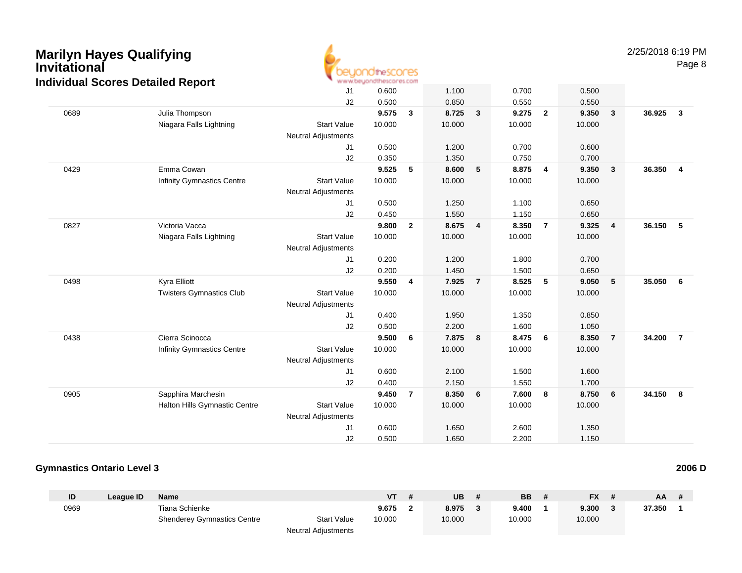

|      | arriadar ocores Detanea Report    |                            |        |                |        |                         |        |                         |        |                         |        |                         |
|------|-----------------------------------|----------------------------|--------|----------------|--------|-------------------------|--------|-------------------------|--------|-------------------------|--------|-------------------------|
|      |                                   | J <sub>1</sub>             | 0.600  |                | 1.100  |                         | 0.700  |                         | 0.500  |                         |        |                         |
|      |                                   | J2                         | 0.500  |                | 0.850  |                         | 0.550  |                         | 0.550  |                         |        |                         |
| 0689 | Julia Thompson                    |                            | 9.575  | $\mathbf{3}$   | 8.725  | $\mathbf{3}$            | 9.275  | $\overline{2}$          | 9.350  | $\mathbf{3}$            | 36.925 | $\overline{\mathbf{3}}$ |
|      | Niagara Falls Lightning           | <b>Start Value</b>         | 10.000 |                | 10.000 |                         | 10.000 |                         | 10.000 |                         |        |                         |
|      |                                   | <b>Neutral Adjustments</b> |        |                |        |                         |        |                         |        |                         |        |                         |
|      |                                   | J1                         | 0.500  |                | 1.200  |                         | 0.700  |                         | 0.600  |                         |        |                         |
|      |                                   | J2                         | 0.350  |                | 1.350  |                         | 0.750  |                         | 0.700  |                         |        |                         |
| 0429 | Emma Cowan                        |                            | 9.525  | 5              | 8.600  | $\sqrt{5}$              | 8.875  | $\overline{\mathbf{4}}$ | 9.350  | $\overline{\mathbf{3}}$ | 36.350 | $\overline{\mathbf{4}}$ |
|      | <b>Infinity Gymnastics Centre</b> | <b>Start Value</b>         | 10.000 |                | 10.000 |                         | 10.000 |                         | 10.000 |                         |        |                         |
|      |                                   | <b>Neutral Adjustments</b> |        |                |        |                         |        |                         |        |                         |        |                         |
|      |                                   | J1                         | 0.500  |                | 1.250  |                         | 1.100  |                         | 0.650  |                         |        |                         |
|      |                                   | J2                         | 0.450  |                | 1.550  |                         | 1.150  |                         | 0.650  |                         |        |                         |
| 0827 | Victoria Vacca                    |                            | 9.800  | $\overline{2}$ | 8.675  | $\overline{\mathbf{4}}$ | 8.350  | $\overline{7}$          | 9.325  | $\overline{\mathbf{4}}$ | 36.150 | 5                       |
|      | Niagara Falls Lightning           | <b>Start Value</b>         | 10.000 |                | 10.000 |                         | 10.000 |                         | 10.000 |                         |        |                         |
|      |                                   | <b>Neutral Adjustments</b> |        |                |        |                         |        |                         |        |                         |        |                         |
|      |                                   | J1                         | 0.200  |                | 1.200  |                         | 1.800  |                         | 0.700  |                         |        |                         |
|      |                                   | J2                         | 0.200  |                | 1.450  |                         | 1.500  |                         | 0.650  |                         |        |                         |
| 0498 | Kyra Elliott                      |                            | 9.550  | 4              | 7.925  | $\overline{7}$          | 8.525  | 5                       | 9.050  | $5\phantom{.0}$         | 35.050 | 6                       |
|      | <b>Twisters Gymnastics Club</b>   | <b>Start Value</b>         | 10.000 |                | 10.000 |                         | 10.000 |                         | 10.000 |                         |        |                         |
|      |                                   | <b>Neutral Adjustments</b> |        |                |        |                         |        |                         |        |                         |        |                         |
|      |                                   | J1                         | 0.400  |                | 1.950  |                         | 1.350  |                         | 0.850  |                         |        |                         |
|      |                                   | J2                         | 0.500  |                | 2.200  |                         | 1.600  |                         | 1.050  |                         |        |                         |
| 0438 | Cierra Scinocca                   |                            | 9.500  | 6              | 7.875  | 8                       | 8.475  | 6                       | 8.350  | $\overline{7}$          | 34.200 | $\overline{7}$          |
|      | <b>Infinity Gymnastics Centre</b> | <b>Start Value</b>         | 10.000 |                | 10.000 |                         | 10.000 |                         | 10.000 |                         |        |                         |
|      |                                   | <b>Neutral Adjustments</b> |        |                |        |                         |        |                         |        |                         |        |                         |
|      |                                   | J1                         | 0.600  |                | 2.100  |                         | 1.500  |                         | 1.600  |                         |        |                         |
|      |                                   | J2                         | 0.400  |                | 2.150  |                         | 1.550  |                         | 1.700  |                         |        |                         |
| 0905 | Sapphira Marchesin                |                            | 9.450  | 7              | 8.350  | 6                       | 7.600  | 8                       | 8.750  | - 6                     | 34.150 | - 8                     |
|      | Halton Hills Gymnastic Centre     | <b>Start Value</b>         | 10.000 |                | 10.000 |                         | 10.000 |                         | 10.000 |                         |        |                         |
|      |                                   | <b>Neutral Adjustments</b> |        |                |        |                         |        |                         |        |                         |        |                         |
|      |                                   | J <sub>1</sub>             | 0.600  |                | 1.650  |                         | 2.600  |                         | 1.350  |                         |        |                         |
|      |                                   | J2                         | 0.500  |                | 1.650  |                         | 2.200  |                         | 1.150  |                         |        |                         |

#### **Gymnastics Ontario Level 32006 D**

| ID   | League ID | Name                               |                            | VT     | <b>UB</b> | <b>BB</b> | <b>FX</b> | AA     |  |
|------|-----------|------------------------------------|----------------------------|--------|-----------|-----------|-----------|--------|--|
| 0969 |           | Tiana Schienke                     |                            | 9.675  | 8.975     | 9.400     | 9.300     | 37.350 |  |
|      |           | <b>Shenderey Gymnastics Centre</b> | <b>Start Value</b>         | 10.000 | 10.000    | 10.000    | 10.000    |        |  |
|      |           |                                    | <b>Neutral Adjustments</b> |        |           |           |           |        |  |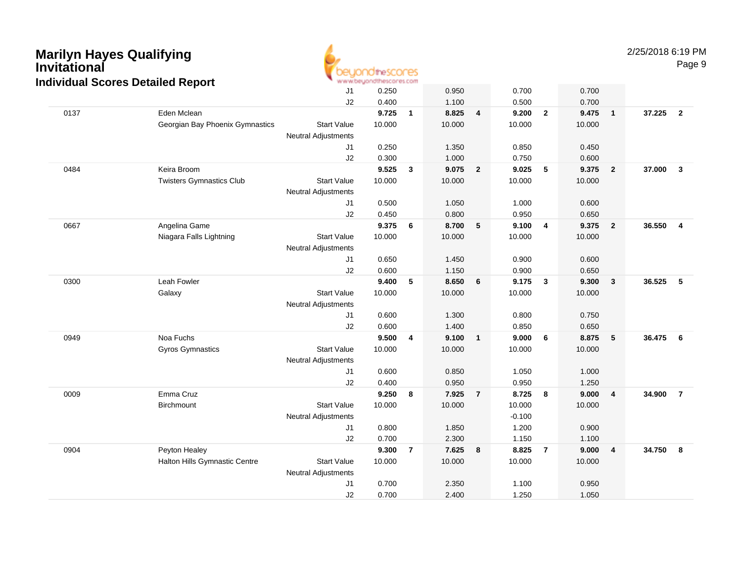

2/25/2018 6:19 PMPage 9

|                               | J1                                                                                                                                                                          | 0.250                                                                          |                                                              | 0.950  |                                                     | 0.700                                                               |                          | 0.700           |                 |                                                                    |
|-------------------------------|-----------------------------------------------------------------------------------------------------------------------------------------------------------------------------|--------------------------------------------------------------------------------|--------------------------------------------------------------|--------|-----------------------------------------------------|---------------------------------------------------------------------|--------------------------|-----------------|-----------------|--------------------------------------------------------------------|
|                               | J2                                                                                                                                                                          | 0.400                                                                          |                                                              | 1.100  |                                                     | 0.500                                                               |                          | 0.700           |                 |                                                                    |
| Eden Mclean                   |                                                                                                                                                                             |                                                                                | $\overline{1}$                                               |        |                                                     |                                                                     | $\overline{2}$           | 9.475           | $\mathbf{1}$    | $\overline{\mathbf{2}}$                                            |
|                               | <b>Start Value</b>                                                                                                                                                          | 10.000                                                                         |                                                              | 10.000 |                                                     | 10.000                                                              |                          | 10.000          |                 |                                                                    |
|                               | <b>Neutral Adjustments</b>                                                                                                                                                  |                                                                                |                                                              |        |                                                     |                                                                     |                          |                 |                 |                                                                    |
|                               | J1                                                                                                                                                                          | 0.250                                                                          |                                                              | 1.350  |                                                     | 0.850                                                               |                          | 0.450           |                 |                                                                    |
|                               | J2                                                                                                                                                                          |                                                                                |                                                              | 1.000  |                                                     | 0.750                                                               |                          | 0.600           |                 |                                                                    |
| Keira Broom                   |                                                                                                                                                                             |                                                                                | $\mathbf{3}$                                                 |        |                                                     | 9.025                                                               |                          | 9.375           | $\overline{2}$  | $\overline{\mathbf{3}}$                                            |
|                               | <b>Start Value</b>                                                                                                                                                          |                                                                                |                                                              |        |                                                     |                                                                     |                          |                 |                 |                                                                    |
|                               | <b>Neutral Adjustments</b>                                                                                                                                                  |                                                                                |                                                              |        |                                                     |                                                                     |                          |                 |                 |                                                                    |
|                               | J1                                                                                                                                                                          | 0.500                                                                          |                                                              | 1.050  |                                                     | 1.000                                                               |                          | 0.600           |                 |                                                                    |
|                               | J2                                                                                                                                                                          | 0.450                                                                          |                                                              | 0.800  |                                                     | 0.950                                                               |                          | 0.650           |                 |                                                                    |
|                               |                                                                                                                                                                             |                                                                                | 6                                                            | 8.700  |                                                     | 9.100                                                               | $\overline{\mathbf{4}}$  |                 | $\overline{2}$  | $\overline{4}$                                                     |
| Niagara Falls Lightning       | <b>Start Value</b>                                                                                                                                                          | 10.000                                                                         |                                                              | 10.000 |                                                     | 10.000                                                              |                          | 10.000          |                 |                                                                    |
|                               | <b>Neutral Adjustments</b>                                                                                                                                                  |                                                                                |                                                              |        |                                                     |                                                                     |                          |                 |                 |                                                                    |
|                               | J1                                                                                                                                                                          | 0.650                                                                          |                                                              | 1.450  |                                                     | 0.900                                                               |                          | 0.600           |                 |                                                                    |
|                               | J2                                                                                                                                                                          |                                                                                |                                                              |        |                                                     | 0.900                                                               |                          | 0.650           |                 |                                                                    |
| Leah Fowler                   |                                                                                                                                                                             | 9.400                                                                          | 5                                                            | 8.650  | 6                                                   | 9.175                                                               | $\overline{\mathbf{3}}$  | 9.300           | $\mathbf{3}$    | $\overline{\phantom{0}}$                                           |
| Galaxy                        | <b>Start Value</b>                                                                                                                                                          | 10.000                                                                         |                                                              | 10.000 |                                                     | 10.000                                                              |                          | 10.000          |                 |                                                                    |
|                               | <b>Neutral Adjustments</b>                                                                                                                                                  |                                                                                |                                                              |        |                                                     |                                                                     |                          |                 |                 |                                                                    |
|                               | J1                                                                                                                                                                          | 0.600                                                                          |                                                              | 1.300  |                                                     | 0.800                                                               |                          | 0.750           |                 |                                                                    |
|                               | J2                                                                                                                                                                          | 0.600                                                                          |                                                              | 1.400  |                                                     | 0.850                                                               |                          | 0.650           |                 |                                                                    |
|                               |                                                                                                                                                                             | 9.500                                                                          | 4                                                            | 9.100  |                                                     | 9.000                                                               | 6                        | 8.875           | 5               | $6\overline{6}$                                                    |
|                               | <b>Start Value</b>                                                                                                                                                          | 10.000                                                                         |                                                              | 10.000 |                                                     | 10.000                                                              |                          | 10.000          |                 |                                                                    |
|                               |                                                                                                                                                                             |                                                                                |                                                              |        |                                                     |                                                                     |                          |                 |                 |                                                                    |
|                               | J1                                                                                                                                                                          | 0.600                                                                          |                                                              | 0.850  |                                                     | 1.050                                                               |                          | 1.000           |                 |                                                                    |
|                               | J2                                                                                                                                                                          |                                                                                |                                                              |        |                                                     |                                                                     |                          | 1.250           |                 |                                                                    |
|                               |                                                                                                                                                                             | 9.250                                                                          | 8                                                            | 7.925  | $\overline{7}$                                      | 8.725                                                               | 8                        | 9.000           | 4               | $\overline{7}$                                                     |
| Birchmount                    |                                                                                                                                                                             | 10.000                                                                         |                                                              | 10.000 |                                                     | 10.000                                                              |                          | 10.000          |                 |                                                                    |
|                               |                                                                                                                                                                             |                                                                                |                                                              |        |                                                     | $-0.100$                                                            |                          |                 |                 |                                                                    |
|                               | J1                                                                                                                                                                          | 0.800                                                                          |                                                              | 1.850  |                                                     | 1.200                                                               |                          | 0.900           |                 |                                                                    |
|                               | J2                                                                                                                                                                          | 0.700                                                                          |                                                              |        |                                                     | 1.150                                                               |                          | 1.100           |                 |                                                                    |
| Peyton Healey                 |                                                                                                                                                                             | 9.300                                                                          | $\overline{7}$                                               | 7.625  | 8                                                   | 8.825                                                               | $\overline{7}$           | 9.000           | 4               | $\overline{\mathbf{8}}$                                            |
| Halton Hills Gymnastic Centre | <b>Start Value</b>                                                                                                                                                          | 10.000                                                                         |                                                              | 10.000 |                                                     | 10.000                                                              |                          | 10.000          |                 |                                                                    |
|                               | <b>Neutral Adjustments</b>                                                                                                                                                  |                                                                                |                                                              |        |                                                     |                                                                     |                          |                 |                 |                                                                    |
|                               | J1                                                                                                                                                                          | 0.700                                                                          |                                                              | 2.350  |                                                     | 1.100                                                               |                          | 0.950           |                 |                                                                    |
|                               | J2                                                                                                                                                                          | 0.700                                                                          |                                                              | 2.400  |                                                     | 1.250                                                               |                          | 1.050           |                 |                                                                    |
|                               | alviuuai ocoles Detalleu Report<br>Georgian Bay Phoenix Gymnastics<br><b>Twisters Gymnastics Club</b><br>Angelina Game<br>Noa Fuchs<br><b>Gyros Gymnastics</b><br>Emma Cruz | <b>Neutral Adjustments</b><br><b>Start Value</b><br><b>Neutral Adjustments</b> | 9.725<br>0.300<br>9.525<br>10.000<br>9.375<br>0.600<br>0.400 |        | 8.825<br>9.075<br>10.000<br>1.150<br>0.950<br>2.300 | $\overline{4}$<br>$\overline{\mathbf{2}}$<br>$-5$<br>$\overline{1}$ | 9.200<br>10.000<br>0.950 | $5\phantom{.0}$ | 10.000<br>9.375 | 37.225<br>37.000<br>36.550<br>36.525<br>36.475<br>34.900<br>34.750 |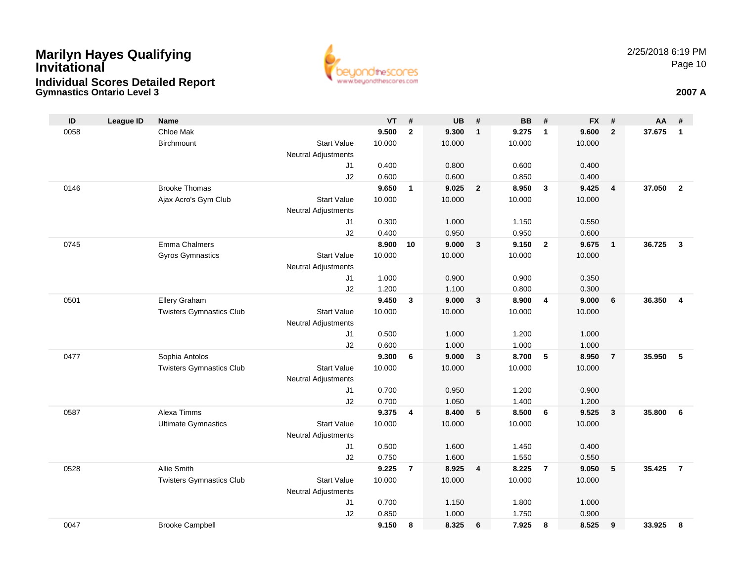### **Gymnastics Ontario Level 3 2007 AMarilyn Hayes Qualifying InvitationalIndividual Scores Detailed Report**



| ID   | <b>League ID</b> | <b>Name</b>                     |                            | <b>VT</b> | #              | <b>UB</b> | #               | <b>BB</b> | #               | <b>FX</b> | #               | AA     | #                       |
|------|------------------|---------------------------------|----------------------------|-----------|----------------|-----------|-----------------|-----------|-----------------|-----------|-----------------|--------|-------------------------|
| 0058 |                  | Chloe Mak                       |                            | 9.500     | $\overline{2}$ | 9.300     | $\mathbf{1}$    | 9.275     | $\mathbf{1}$    | 9.600     | $\overline{2}$  | 37.675 | $\mathbf{1}$            |
|      |                  | Birchmount                      | <b>Start Value</b>         | 10.000    |                | 10.000    |                 | 10.000    |                 | 10.000    |                 |        |                         |
|      |                  |                                 | Neutral Adjustments        |           |                |           |                 |           |                 |           |                 |        |                         |
|      |                  |                                 | J <sub>1</sub>             | 0.400     |                | 0.800     |                 | 0.600     |                 | 0.400     |                 |        |                         |
|      |                  |                                 | J2                         | 0.600     |                | 0.600     |                 | 0.850     |                 | 0.400     |                 |        |                         |
| 0146 |                  | <b>Brooke Thomas</b>            |                            | 9.650     | $\mathbf{1}$   | 9.025     | $\overline{2}$  | 8.950     | $\mathbf{3}$    | 9.425     | $\overline{4}$  | 37.050 | $\overline{2}$          |
|      |                  | Ajax Acro's Gym Club            | <b>Start Value</b>         | 10.000    |                | 10.000    |                 | 10.000    |                 | 10.000    |                 |        |                         |
|      |                  |                                 | Neutral Adjustments        |           |                |           |                 |           |                 |           |                 |        |                         |
|      |                  |                                 | J1                         | 0.300     |                | 1.000     |                 | 1.150     |                 | 0.550     |                 |        |                         |
|      |                  |                                 | J2                         | 0.400     |                | 0.950     |                 | 0.950     |                 | 0.600     |                 |        |                         |
| 0745 |                  | Emma Chalmers                   |                            | 8.900     | 10             | 9.000     | $\mathbf{3}$    | 9.150     | $\overline{2}$  | 9.675     | $\overline{1}$  | 36.725 | $\mathbf{3}$            |
|      |                  | <b>Gyros Gymnastics</b>         | <b>Start Value</b>         | 10.000    |                | 10.000    |                 | 10.000    |                 | 10.000    |                 |        |                         |
|      |                  |                                 | Neutral Adjustments<br>J1  | 1.000     |                | 0.900     |                 | 0.900     |                 | 0.350     |                 |        |                         |
|      |                  |                                 | J2                         | 1.200     |                | 1.100     |                 | 0.800     |                 | 0.300     |                 |        |                         |
| 0501 |                  | Ellery Graham                   |                            | 9.450     | $\mathbf{3}$   | 9.000     | $\mathbf{3}$    | 8.900     | $\overline{4}$  | 9.000     | $6\phantom{1}6$ | 36.350 | $\overline{\mathbf{4}}$ |
|      |                  | <b>Twisters Gymnastics Club</b> | <b>Start Value</b>         | 10.000    |                | 10.000    |                 | 10.000    |                 | 10.000    |                 |        |                         |
|      |                  |                                 | Neutral Adjustments        |           |                |           |                 |           |                 |           |                 |        |                         |
|      |                  |                                 | J1                         | 0.500     |                | 1.000     |                 | 1.200     |                 | 1.000     |                 |        |                         |
|      |                  |                                 | J2                         | 0.600     |                | 1.000     |                 | 1.000     |                 | 1.000     |                 |        |                         |
| 0477 |                  | Sophia Antolos                  |                            | 9.300     | 6              | 9.000     | 3               | 8.700     | $5\phantom{.0}$ | 8.950     | $\overline{7}$  | 35.950 | 5                       |
|      |                  | <b>Twisters Gymnastics Club</b> | <b>Start Value</b>         | 10.000    |                | 10.000    |                 | 10.000    |                 | 10.000    |                 |        |                         |
|      |                  |                                 | <b>Neutral Adjustments</b> |           |                |           |                 |           |                 |           |                 |        |                         |
|      |                  |                                 | J <sub>1</sub>             | 0.700     |                | 0.950     |                 | 1.200     |                 | 0.900     |                 |        |                         |
|      |                  |                                 | J2                         | 0.700     |                | 1.050     |                 | 1.400     |                 | 1.200     |                 |        |                         |
| 0587 |                  | Alexa Timms                     |                            | 9.375     | 4              | 8.400     | $5\phantom{.0}$ | 8.500     | 6               | 9.525     | $\mathbf{3}$    | 35.800 | 6                       |
|      |                  | <b>Ultimate Gymnastics</b>      | <b>Start Value</b>         | 10.000    |                | 10.000    |                 | 10.000    |                 | 10.000    |                 |        |                         |
|      |                  |                                 | Neutral Adjustments        |           |                |           |                 |           |                 |           |                 |        |                         |
|      |                  |                                 | J <sub>1</sub>             | 0.500     |                | 1.600     |                 | 1.450     |                 | 0.400     |                 |        |                         |
|      |                  |                                 | J2                         | 0.750     |                | 1.600     |                 | 1.550     |                 | 0.550     |                 |        |                         |
| 0528 |                  | Allie Smith                     |                            | 9.225     | $\overline{7}$ | 8.925     | 4               | 8.225     | $\overline{7}$  | 9.050     | 5               | 35.425 | $\overline{7}$          |
|      |                  | <b>Twisters Gymnastics Club</b> | <b>Start Value</b>         | 10.000    |                | 10.000    |                 | 10.000    |                 | 10.000    |                 |        |                         |
|      |                  |                                 | Neutral Adjustments        |           |                |           |                 |           |                 |           |                 |        |                         |
|      |                  |                                 | J1                         | 0.700     |                | 1.150     |                 | 1.800     |                 | 1.000     |                 |        |                         |
|      |                  |                                 | J2                         | 0.850     |                | 1.000     |                 | 1.750     |                 | 0.900     |                 |        |                         |
| 0047 |                  | <b>Brooke Campbell</b>          |                            | 9.150     | 8              | 8.325     | 6               | 7.925     | 8               | 8.525     | 9               | 33.925 | 8                       |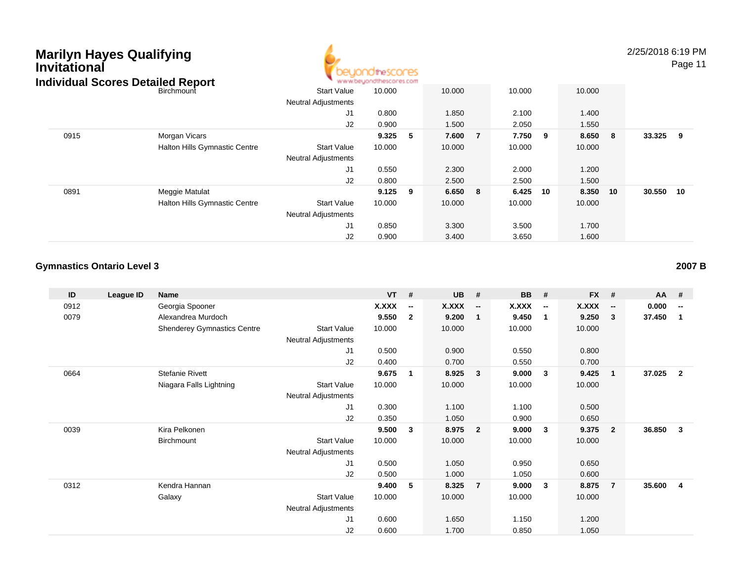| <b>Marilyn Hayes Qualifying</b><br><b>Invitational</b> | <b>Individual Scores Detailed Report</b> |                            | <b>Idhescores</b><br>www.beuondthescores.com |     |        |   |        |    |        |    | 2/25/2018 6:19<br>Page |  |
|--------------------------------------------------------|------------------------------------------|----------------------------|----------------------------------------------|-----|--------|---|--------|----|--------|----|------------------------|--|
|                                                        | Birchmount                               | <b>Start Value</b>         | 10.000                                       |     | 10.000 |   | 10.000 |    | 10.000 |    |                        |  |
|                                                        |                                          | <b>Neutral Adjustments</b> |                                              |     |        |   |        |    |        |    |                        |  |
|                                                        |                                          | J1                         | 0.800                                        |     | 1.850  |   | 2.100  |    | 1.400  |    |                        |  |
|                                                        |                                          | J2                         | 0.900                                        |     | 1.500  |   | 2.050  |    | 1.550  |    |                        |  |
| 0915                                                   | Morgan Vicars                            |                            | 9.325                                        | 5   | 7.600  | 7 | 7.750  | 9  | 8.650  | 8  | 33.325<br>9            |  |
|                                                        | Halton Hills Gymnastic Centre            | <b>Start Value</b>         | 10.000                                       |     | 10.000 |   | 10.000 |    | 10.000 |    |                        |  |
|                                                        |                                          | <b>Neutral Adjustments</b> |                                              |     |        |   |        |    |        |    |                        |  |
|                                                        |                                          | J1                         | 0.550                                        |     | 2.300  |   | 2.000  |    | 1.200  |    |                        |  |
|                                                        |                                          | J <sub>2</sub>             | 0.800                                        |     | 2.500  |   | 2.500  |    | 1.500  |    |                        |  |
| 0891                                                   | Meggie Matulat                           |                            | 9.125                                        | - 9 | 6.650  | 8 | 6.425  | 10 | 8.350  | 10 | 30.550<br>10           |  |
|                                                        | <b>Halton Hills Gymnastic Centre</b>     | <b>Start Value</b>         | 10.000                                       |     | 10.000 |   | 10.000 |    | 10.000 |    |                        |  |
|                                                        |                                          | <b>Neutral Adjustments</b> |                                              |     |        |   |        |    |        |    |                        |  |
|                                                        |                                          | J <sub>1</sub>             | 0.850                                        |     | 3.300  |   | 3.500  |    | 1.700  |    |                        |  |
|                                                        |                                          | J2                         | 0.900                                        |     | 3.400  |   | 3.650  |    | 1.600  |    |                        |  |

A

#### **Gymnastics Ontario Level 32007 B**

| ID   | League ID | Name                               |                            | $VT$ # |                          | <b>UB</b> | #                        | <b>BB</b> | #                        | <b>FX</b> | #                        | AA     | #                        |
|------|-----------|------------------------------------|----------------------------|--------|--------------------------|-----------|--------------------------|-----------|--------------------------|-----------|--------------------------|--------|--------------------------|
| 0912 |           | Georgia Spooner                    |                            | X.XXX  | $\overline{\phantom{a}}$ | X.XXX     | $\overline{\phantom{a}}$ | X.XXX     | $\overline{\phantom{a}}$ | X.XXX     | $\overline{\phantom{a}}$ | 0.000  | $\overline{\phantom{a}}$ |
| 0079 |           | Alexandrea Murdoch                 |                            | 9.550  | $\mathbf{2}$             | 9.200     |                          | 9.450     | $\mathbf 1$              | 9.250     | 3                        | 37.450 | $\mathbf{1}$             |
|      |           | <b>Shenderey Gymnastics Centre</b> | <b>Start Value</b>         | 10.000 |                          | 10.000    |                          | 10.000    |                          | 10.000    |                          |        |                          |
|      |           |                                    | Neutral Adjustments        |        |                          |           |                          |           |                          |           |                          |        |                          |
|      |           |                                    | J1                         | 0.500  |                          | 0.900     |                          | 0.550     |                          | 0.800     |                          |        |                          |
|      |           |                                    | J2                         | 0.400  |                          | 0.700     |                          | 0.550     |                          | 0.700     |                          |        |                          |
| 0664 |           | <b>Stefanie Rivett</b>             |                            | 9.675  | 1                        | 8.925     | $\mathbf{3}$             | 9.000     | $\mathbf{3}$             | 9.425     | $\mathbf{1}$             | 37.025 | $\overline{\mathbf{2}}$  |
|      |           | Niagara Falls Lightning            | <b>Start Value</b>         | 10.000 |                          | 10.000    |                          | 10.000    |                          | 10.000    |                          |        |                          |
|      |           |                                    | <b>Neutral Adjustments</b> |        |                          |           |                          |           |                          |           |                          |        |                          |
|      |           |                                    | J1                         | 0.300  |                          | 1.100     |                          | 1.100     |                          | 0.500     |                          |        |                          |
|      |           |                                    | J2                         | 0.350  |                          | 1.050     |                          | 0.900     |                          | 0.650     |                          |        |                          |
| 0039 |           | Kira Pelkonen                      |                            | 9.500  | 3                        | 8.975     | $\overline{2}$           | 9.000     | $\mathbf{3}$             | 9.375     | $\overline{\mathbf{2}}$  | 36.850 | 3                        |
|      |           | Birchmount                         | <b>Start Value</b>         | 10.000 |                          | 10.000    |                          | 10.000    |                          | 10.000    |                          |        |                          |
|      |           |                                    | Neutral Adjustments        |        |                          |           |                          |           |                          |           |                          |        |                          |
|      |           |                                    | J1                         | 0.500  |                          | 1.050     |                          | 0.950     |                          | 0.650     |                          |        |                          |
|      |           |                                    | J2                         | 0.500  |                          | 1.000     |                          | 1.050     |                          | 0.600     |                          |        |                          |
| 0312 |           | Kendra Hannan                      |                            | 9.400  | 5                        | 8.325     | $\overline{7}$           | 9.000     | $\mathbf{3}$             | 8.875     | 7                        | 35.600 | -4                       |
|      |           | Galaxy                             | <b>Start Value</b>         | 10.000 |                          | 10.000    |                          | 10.000    |                          | 10.000    |                          |        |                          |
|      |           |                                    | Neutral Adjustments        |        |                          |           |                          |           |                          |           |                          |        |                          |
|      |           |                                    | J1                         | 0.600  |                          | 1.650     |                          | 1.150     |                          | 1.200     |                          |        |                          |
|      |           |                                    | J2                         | 0.600  |                          | 1.700     |                          | 0.850     |                          | 1.050     |                          |        |                          |

2/25/2018 6:19 PM

Page 11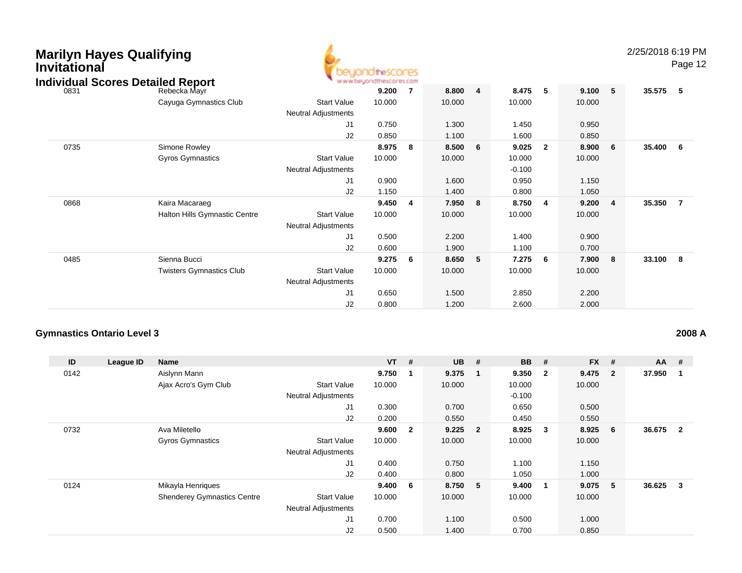| <b>Marilyn Hayes Qualifying</b><br><b>Invitational</b> | <b>Individual Scores Detailed Report</b> | www.beyond                                       | <b>idtheSCOCES</b> |     |        |                         |          |                         |        |                | 2/25/2018 6:19 PM | Page 12 |
|--------------------------------------------------------|------------------------------------------|--------------------------------------------------|--------------------|-----|--------|-------------------------|----------|-------------------------|--------|----------------|-------------------|---------|
| 0831                                                   | Rebecka Mayr                             |                                                  | 9.200              | -7  | 8.800  | $\overline{\mathbf{4}}$ | 8.475    | - 5                     | 9.100  | 5              | 35.575            | - 5     |
|                                                        | Cayuga Gymnastics Club                   | <b>Start Value</b><br>Neutral Adjustments        | 10.000             |     | 10.000 |                         | 10.000   |                         | 10.000 |                |                   |         |
|                                                        |                                          | J <sub>1</sub>                                   | 0.750              |     | 1.300  |                         | 1.450    |                         | 0.950  |                |                   |         |
|                                                        |                                          | J2                                               | 0.850              |     | 1.100  |                         | 1.600    |                         | 0.850  |                |                   |         |
| 0735                                                   | Simone Rowley                            |                                                  | 8.975              | - 8 | 8.500  | 6                       | 9.025    | $\overline{\mathbf{2}}$ | 8.900  | 6              | 35.400            | - 6     |
|                                                        | <b>Gyros Gymnastics</b>                  | <b>Start Value</b>                               | 10.000             |     | 10.000 |                         | 10.000   |                         | 10.000 |                |                   |         |
|                                                        |                                          | Neutral Adjustments                              |                    |     |        |                         | $-0.100$ |                         |        |                |                   |         |
|                                                        |                                          | J <sub>1</sub>                                   | 0.900              |     | 1.600  |                         | 0.950    |                         | 1.150  |                |                   |         |
|                                                        |                                          | J <sub>2</sub>                                   | 1.150              |     | 1.400  |                         | 0.800    |                         | 1.050  |                |                   |         |
| 0868                                                   | Kaira Macaraeg                           |                                                  | 9.450              | -4  | 7.950  | 8                       | 8.750    | -4                      | 9.200  | $\overline{4}$ | 35.350            | -7      |
|                                                        | <b>Halton Hills Gymnastic Centre</b>     | <b>Start Value</b><br><b>Neutral Adjustments</b> | 10.000             |     | 10.000 |                         | 10.000   |                         | 10.000 |                |                   |         |
|                                                        |                                          | J <sub>1</sub>                                   | 0.500              |     | 2.200  |                         | 1.400    |                         | 0.900  |                |                   |         |
|                                                        |                                          | J2                                               | 0.600              |     | 1.900  |                         | 1.100    |                         | 0.700  |                |                   |         |
| 0485                                                   | Sienna Bucci                             |                                                  | 9.275              | - 6 | 8.650  | 5                       | 7.275    | - 6                     | 7.900  | 8              | 33.100            | - 8     |
|                                                        | <b>Twisters Gymnastics Club</b>          | <b>Start Value</b><br>Neutral Adjustments        | 10.000             |     | 10.000 |                         | 10.000   |                         | 10.000 |                |                   |         |
|                                                        |                                          | J1                                               | 0.650              |     | 1.500  |                         | 2.850    |                         | 2.200  |                |                   |         |
|                                                        |                                          | J <sub>2</sub>                                   | 0.800              |     | 1.200  |                         | 2.600    |                         | 2.000  |                |                   |         |

#### **Gymnastics Ontario Level 3**

| ID   | League ID | Name                               |                            | $VT$ #  |                         | <b>UB</b> | #                       | <b>BB</b> | #                       | $FX$ # |                | $AA$ #   |                |
|------|-----------|------------------------------------|----------------------------|---------|-------------------------|-----------|-------------------------|-----------|-------------------------|--------|----------------|----------|----------------|
| 0142 |           | Aislynn Mann                       |                            | 9.750   | -1                      | 9.375     | - 1                     | 9.350     | $\overline{\mathbf{2}}$ | 9.475  | $\overline{2}$ | 37.950   |                |
|      |           | Ajax Acro's Gym Club               | <b>Start Value</b>         | 10.000  |                         | 10.000    |                         | 10.000    |                         | 10.000 |                |          |                |
|      |           |                                    | <b>Neutral Adjustments</b> |         |                         |           |                         | $-0.100$  |                         |        |                |          |                |
|      |           |                                    | J <sub>1</sub>             | 0.300   |                         | 0.700     |                         | 0.650     |                         | 0.500  |                |          |                |
|      |           |                                    | J2                         | 0.200   |                         | 0.550     |                         | 0.450     |                         | 0.550  |                |          |                |
| 0732 |           | Ava Miletello                      |                            | 9.600   | $\overline{\mathbf{2}}$ | 9.225     | $\overline{\mathbf{2}}$ | 8.925     | - 3                     | 8.925  | 6              | 36.675   | $\overline{2}$ |
|      |           | <b>Gyros Gymnastics</b>            | <b>Start Value</b>         | 10.000  |                         | 10.000    |                         | 10.000    |                         | 10.000 |                |          |                |
|      |           |                                    | <b>Neutral Adjustments</b> |         |                         |           |                         |           |                         |        |                |          |                |
|      |           |                                    | J1                         | 0.400   |                         | 0.750     |                         | 1.100     |                         | 1.150  |                |          |                |
|      |           |                                    | J2                         | 0.400   |                         | 0.800     |                         | 1.050     |                         | 1.000  |                |          |                |
| 0124 |           | Mikayla Henriques                  |                            | 9.400 6 |                         | 8.750 5   |                         | 9.400     | $\mathbf{1}$            | 9.075  | 5              | 36.625 3 |                |
|      |           | <b>Shenderey Gymnastics Centre</b> | <b>Start Value</b>         | 10.000  |                         | 10.000    |                         | 10.000    |                         | 10.000 |                |          |                |
|      |           |                                    | <b>Neutral Adjustments</b> |         |                         |           |                         |           |                         |        |                |          |                |
|      |           |                                    | J1                         | 0.700   |                         | 1.100     |                         | 0.500     |                         | 1.000  |                |          |                |
|      |           |                                    | J2                         | 0.500   |                         | 1.400     |                         | 0.700     |                         | 0.850  |                |          |                |

### **2008 A**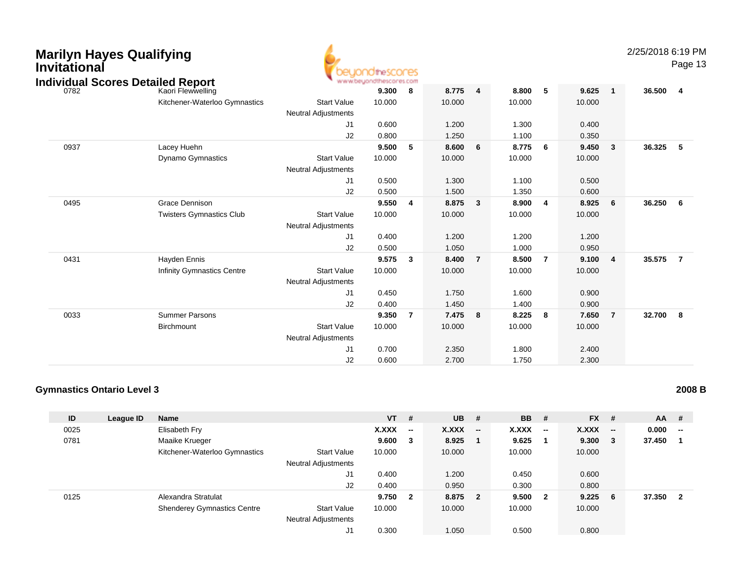| <b>Marilyn Hayes Qualifying</b><br><b>Invitational</b><br><b>Individual Scores Detailed Report</b> |                                   |                            | theSCOCES<br>www.beyondthescores.com |   |        |                         |        |   |        |              | 2/25/2018 6:1 | Pa |
|----------------------------------------------------------------------------------------------------|-----------------------------------|----------------------------|--------------------------------------|---|--------|-------------------------|--------|---|--------|--------------|---------------|----|
| 0782                                                                                               | Kaori Flewwelling                 |                            | 9.300                                | 8 | 8.775  | $\overline{\mathbf{4}}$ | 8.800  | 5 | 9.625  | -1           | 36.500        | 4  |
|                                                                                                    | Kitchener-Waterloo Gymnastics     | <b>Start Value</b>         | 10.000                               |   | 10.000 |                         | 10.000 |   | 10.000 |              |               |    |
|                                                                                                    |                                   | <b>Neutral Adjustments</b> |                                      |   |        |                         |        |   |        |              |               |    |
|                                                                                                    |                                   | J1                         | 0.600                                |   | 1.200  |                         | 1.300  |   | 0.400  |              |               |    |
|                                                                                                    |                                   | J2                         | 0.800                                |   | 1.250  |                         | 1.100  |   | 0.350  |              |               |    |
| 0937                                                                                               | Lacey Huehn                       |                            | 9.500                                | 5 | 8.600  | 6                       | 8.775  | 6 | 9.450  | $\mathbf{3}$ | 36.325        | 5  |
|                                                                                                    | Dynamo Gymnastics                 | <b>Start Value</b>         | 10.000                               |   | 10.000 |                         | 10.000 |   | 10.000 |              |               |    |
|                                                                                                    |                                   | <b>Neutral Adjustments</b> |                                      |   |        |                         |        |   |        |              |               |    |
|                                                                                                    |                                   | J <sub>1</sub>             | 0.500                                |   | 1.300  |                         | 1.100  |   | 0.500  |              |               |    |
|                                                                                                    |                                   | J <sub>2</sub>             | 0.500                                |   | 1.500  |                         | 1.350  |   | 0.600  |              |               |    |
| 0495                                                                                               | Grace Dennison                    |                            | 9.550                                | 4 | 8.875  | 3                       | 8.900  | 4 | 8.925  | 6            | 36.250        |    |
|                                                                                                    | <b>Twisters Gymnastics Club</b>   | <b>Start Value</b>         | 10.000                               |   | 10.000 |                         | 10.000 |   | 10.000 |              |               |    |
|                                                                                                    |                                   | <b>Neutral Adjustments</b> |                                      |   |        |                         |        |   |        |              |               |    |
|                                                                                                    |                                   | J <sub>1</sub>             | 0.400                                |   | 1.200  |                         | 1.200  |   | 1.200  |              |               |    |
|                                                                                                    |                                   | J2                         | 0.500                                |   | 1.050  |                         | 1.000  |   | 0.950  |              |               |    |
| 0431                                                                                               | Hayden Ennis                      |                            | 9.575                                | 3 | 8.400  | $\overline{7}$          | 8.500  | 7 | 9.100  | -4           | 35.575        |    |
|                                                                                                    | <b>Infinity Gymnastics Centre</b> | <b>Start Value</b>         | 10.000                               |   | 10.000 |                         | 10.000 |   | 10.000 |              |               |    |
|                                                                                                    |                                   | <b>Neutral Adjustments</b> |                                      |   |        |                         |        |   |        |              |               |    |
|                                                                                                    |                                   | J1                         | 0.450                                |   | 1.750  |                         | 1.600  |   | 0.900  |              |               |    |

|      |                       | J1                         | 0.450  | 1.750        | 006.       | 0.900  |               |
|------|-----------------------|----------------------------|--------|--------------|------------|--------|---------------|
|      |                       | J2                         | 0.400  | 1.450        | 1.400      | 0.900  |               |
| 0033 | <b>Summer Parsons</b> |                            | 9.350  | 7.475<br>- 8 | 8.225<br>8 | 7.650  | 32.700<br>- 8 |
|      | Birchmount            | <b>Start Value</b>         | 10.000 | 10.000       | 10.000     | 10.000 |               |
|      |                       | <b>Neutral Adjustments</b> |        |              |            |        |               |
|      |                       | J1                         | 0.700  | 2.350        | 1.800      | 2.400  |               |
|      |                       | J2                         | 0.600  | 2.700        | 1.750      | 2.300  |               |

### **Gymnastics Ontario Level 3**

| ID   | League ID | <b>Name</b>                        |                            | $VT$ # |                          | <b>UB</b> | #                        | <b>BB</b> | -#                       | <b>FX</b> | #                        | $AA$ # |                          |
|------|-----------|------------------------------------|----------------------------|--------|--------------------------|-----------|--------------------------|-----------|--------------------------|-----------|--------------------------|--------|--------------------------|
| 0025 |           | Elisabeth Fry                      |                            | X.XXX  | $\overline{\phantom{a}}$ | X.XXX     | $\overline{\phantom{a}}$ | X.XXX     | $\overline{\phantom{a}}$ | X.XXX     | $\overline{\phantom{a}}$ | 0.000  | $\overline{\phantom{a}}$ |
| 0781 |           | Maaike Krueger                     |                            | 9.600  | 3                        | 8.925     |                          | 9.625     |                          | 9.300     | -3                       | 37.450 |                          |
|      |           | Kitchener-Waterloo Gymnastics      | <b>Start Value</b>         | 10.000 |                          | 10.000    |                          | 10.000    |                          | 10.000    |                          |        |                          |
|      |           |                                    | <b>Neutral Adjustments</b> |        |                          |           |                          |           |                          |           |                          |        |                          |
|      |           |                                    | J1                         | 0.400  |                          | 1.200     |                          | 0.450     |                          | 0.600     |                          |        |                          |
|      |           |                                    | J2                         | 0.400  |                          | 0.950     |                          | 0.300     |                          | 0.800     |                          |        |                          |
| 0125 |           | Alexandra Stratulat                |                            | 9.750  | $\overline{\mathbf{2}}$  | 8.875 2   |                          | 9.500     | $\overline{\mathbf{2}}$  | 9.225     | 6                        | 37.350 | $\overline{\mathbf{2}}$  |
|      |           | <b>Shenderey Gymnastics Centre</b> | <b>Start Value</b>         | 10.000 |                          | 10.000    |                          | 10.000    |                          | 10.000    |                          |        |                          |
|      |           |                                    | <b>Neutral Adjustments</b> |        |                          |           |                          |           |                          |           |                          |        |                          |
|      |           |                                    | J1                         | 0.300  |                          | 1.050     |                          | 0.500     |                          | 0.800     |                          |        |                          |

2/25/2018 6:19 PM

Page 13

**2008 B**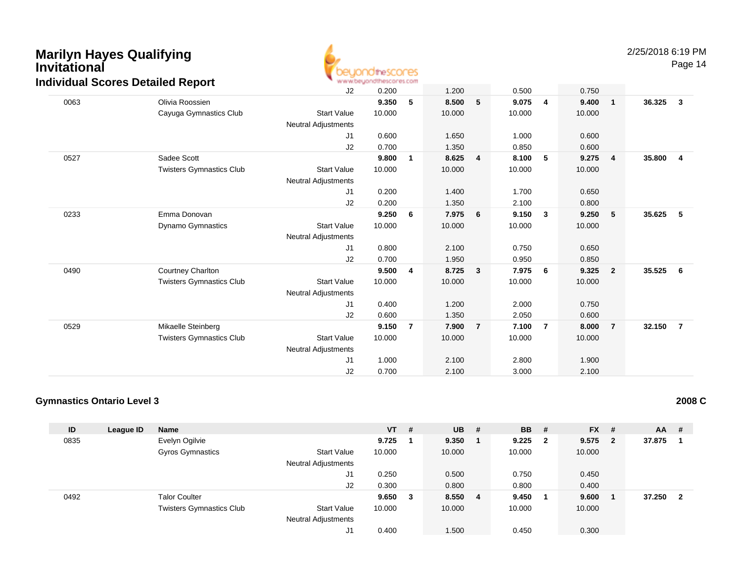

Page 14

|      |                                 | J2                         | 0.200  |                | 1.200  |                | 0.500  |                | 0.750  |                |        |                         |
|------|---------------------------------|----------------------------|--------|----------------|--------|----------------|--------|----------------|--------|----------------|--------|-------------------------|
| 0063 | Olivia Roossien                 |                            | 9.350  | 5              | 8.500  | 5              | 9.075  | 4              | 9.400  | $\overline{1}$ | 36.325 | $\overline{\mathbf{3}}$ |
|      | Cayuga Gymnastics Club          | <b>Start Value</b>         | 10.000 |                | 10.000 |                | 10.000 |                | 10.000 |                |        |                         |
|      |                                 | <b>Neutral Adjustments</b> |        |                |        |                |        |                |        |                |        |                         |
|      |                                 | J1                         | 0.600  |                | 1.650  |                | 1.000  |                | 0.600  |                |        |                         |
|      |                                 | J2                         | 0.700  |                | 1.350  |                | 0.850  |                | 0.600  |                |        |                         |
| 0527 | Sadee Scott                     |                            | 9.800  | 1              | 8.625  | $\overline{4}$ | 8.100  | 5              | 9.275  | $\overline{4}$ | 35.800 | $\overline{4}$          |
|      | <b>Twisters Gymnastics Club</b> | <b>Start Value</b>         | 10.000 |                | 10.000 |                | 10.000 |                | 10.000 |                |        |                         |
|      |                                 | <b>Neutral Adjustments</b> |        |                |        |                |        |                |        |                |        |                         |
|      |                                 | J1                         | 0.200  |                | 1.400  |                | 1.700  |                | 0.650  |                |        |                         |
|      |                                 | J2                         | 0.200  |                | 1.350  |                | 2.100  |                | 0.800  |                |        |                         |
| 0233 | Emma Donovan                    |                            | 9.250  | 6              | 7.975  | 6              | 9.150  | 3              | 9.250  | 5              | 35.625 | $-5$                    |
|      | Dynamo Gymnastics               | <b>Start Value</b>         | 10.000 |                | 10.000 |                | 10.000 |                | 10.000 |                |        |                         |
|      |                                 | <b>Neutral Adjustments</b> |        |                |        |                |        |                |        |                |        |                         |
|      |                                 | J <sub>1</sub>             | 0.800  |                | 2.100  |                | 0.750  |                | 0.650  |                |        |                         |
|      |                                 | J2                         | 0.700  |                | 1.950  |                | 0.950  |                | 0.850  |                |        |                         |
| 0490 | Courtney Charlton               |                            | 9.500  | 4              | 8.725  | 3              | 7.975  | 6              | 9.325  | $\overline{2}$ | 35.525 | 6                       |
|      | <b>Twisters Gymnastics Club</b> | <b>Start Value</b>         | 10.000 |                | 10.000 |                | 10.000 |                | 10.000 |                |        |                         |
|      |                                 | <b>Neutral Adjustments</b> |        |                |        |                |        |                |        |                |        |                         |
|      |                                 | J <sub>1</sub>             | 0.400  |                | 1.200  |                | 2.000  |                | 0.750  |                |        |                         |
|      |                                 | J2                         | 0.600  |                | 1.350  |                | 2.050  |                | 0.600  |                |        |                         |
| 0529 | Mikaelle Steinberg              |                            | 9.150  | $\overline{7}$ | 7.900  | $\overline{7}$ | 7.100  | $\overline{7}$ | 8.000  | $\overline{7}$ | 32.150 | $\overline{7}$          |
|      | <b>Twisters Gymnastics Club</b> | <b>Start Value</b>         | 10.000 |                | 10.000 |                | 10.000 |                | 10.000 |                |        |                         |
|      |                                 | <b>Neutral Adjustments</b> |        |                |        |                |        |                |        |                |        |                         |
|      |                                 | J <sub>1</sub>             | 1.000  |                | 2.100  |                | 2.800  |                | 1.900  |                |        |                         |
|      |                                 | J2                         | 0.700  |                | 2.100  |                | 3.000  |                | 2.100  |                |        |                         |

#### **Gymnastics Ontario Level 3**

| ID   | League ID | <b>Name</b>                     |                            | $VT$ # |   | $UB$ #  | <b>BB</b> | #                       | <b>FX</b> | -#           | <b>AA</b> | #  |
|------|-----------|---------------------------------|----------------------------|--------|---|---------|-----------|-------------------------|-----------|--------------|-----------|----|
| 0835 |           | Evelyn Ogilvie                  |                            | 9.725  |   | 9.350   | 9.225     | $\overline{\mathbf{2}}$ | 9.575     | $\mathbf{2}$ | 37.875    |    |
|      |           | Gyros Gymnastics                | <b>Start Value</b>         | 10.000 |   | 10.000  | 10.000    |                         | 10.000    |              |           |    |
|      |           |                                 | <b>Neutral Adjustments</b> |        |   |         |           |                         |           |              |           |    |
|      |           |                                 | J1                         | 0.250  |   | 0.500   | 0.750     |                         | 0.450     |              |           |    |
|      |           |                                 | J2                         | 0.300  |   | 0.800   | 0.800     |                         | 0.400     |              |           |    |
| 0492 |           | <b>Talor Coulter</b>            |                            | 9.650  | 3 | 8.550 4 | 9.450     |                         | 9.600     |              | 37.250    | -2 |
|      |           | <b>Twisters Gymnastics Club</b> | <b>Start Value</b>         | 10.000 |   | 10.000  | 10.000    |                         | 10.000    |              |           |    |
|      |           |                                 | <b>Neutral Adjustments</b> |        |   |         |           |                         |           |              |           |    |
|      |           |                                 | J1                         | 0.400  |   | 1.500   | 0.450     |                         | 0.300     |              |           |    |

**2008 C**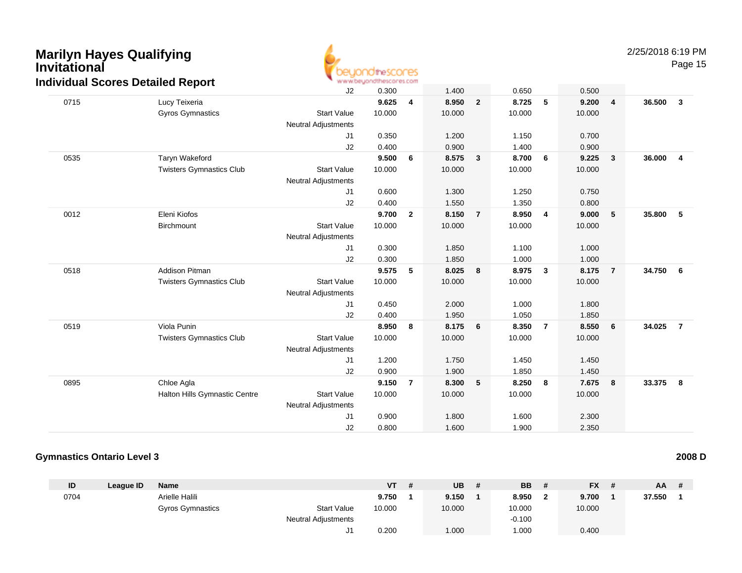

Page 15

| 0715<br>9.625<br>8.950<br>8.725<br>5<br>9.200<br>Lucy Teixeria<br>4<br>$\overline{2}$<br>$\overline{4}$<br>Gyros Gymnastics<br><b>Start Value</b><br>10.000<br>10.000<br>10.000<br>10.000<br><b>Neutral Adjustments</b><br>0.700<br>J1<br>0.350<br>1.200<br>1.150<br>J2<br>0.400<br>0.900<br>1.400<br>0.900<br>9.500<br>0535<br>Taryn Wakeford<br>6<br>8.575<br>$\mathbf{3}$<br>8.700<br>6<br>9.225<br>$\overline{\mathbf{3}}$<br><b>Twisters Gymnastics Club</b><br><b>Start Value</b><br>10.000<br>10.000<br>10.000<br>10.000<br><b>Neutral Adjustments</b><br>J <sub>1</sub><br>0.600<br>1.300<br>1.250<br>0.750<br>J2<br>0.400<br>1.550<br>1.350<br>0.800<br>0012<br>Eleni Kiofos<br>9.700<br>8.150<br>8.950<br>9.000<br>$-5$<br>$\overline{2}$<br>$\overline{7}$<br>4<br><b>Start Value</b><br>Birchmount<br>10.000<br>10.000<br>10.000<br>10.000<br><b>Neutral Adjustments</b><br>0.300<br>1.850<br>1.100<br>1.000<br>J1<br>1.850<br>1.000<br>J2<br>0.300<br>1.000<br><b>Addison Pitman</b><br>9.575<br>5<br>8.025<br>8.975<br>8.175<br>0518<br>8<br>$\mathbf{3}$<br>$\overline{7}$ | 36.500<br>$\mathbf{3}$   |
|-------------------------------------------------------------------------------------------------------------------------------------------------------------------------------------------------------------------------------------------------------------------------------------------------------------------------------------------------------------------------------------------------------------------------------------------------------------------------------------------------------------------------------------------------------------------------------------------------------------------------------------------------------------------------------------------------------------------------------------------------------------------------------------------------------------------------------------------------------------------------------------------------------------------------------------------------------------------------------------------------------------------------------------------------------------------------------------------|--------------------------|
|                                                                                                                                                                                                                                                                                                                                                                                                                                                                                                                                                                                                                                                                                                                                                                                                                                                                                                                                                                                                                                                                                           |                          |
|                                                                                                                                                                                                                                                                                                                                                                                                                                                                                                                                                                                                                                                                                                                                                                                                                                                                                                                                                                                                                                                                                           |                          |
|                                                                                                                                                                                                                                                                                                                                                                                                                                                                                                                                                                                                                                                                                                                                                                                                                                                                                                                                                                                                                                                                                           |                          |
|                                                                                                                                                                                                                                                                                                                                                                                                                                                                                                                                                                                                                                                                                                                                                                                                                                                                                                                                                                                                                                                                                           |                          |
|                                                                                                                                                                                                                                                                                                                                                                                                                                                                                                                                                                                                                                                                                                                                                                                                                                                                                                                                                                                                                                                                                           |                          |
|                                                                                                                                                                                                                                                                                                                                                                                                                                                                                                                                                                                                                                                                                                                                                                                                                                                                                                                                                                                                                                                                                           | 36.000<br>$\overline{4}$ |
|                                                                                                                                                                                                                                                                                                                                                                                                                                                                                                                                                                                                                                                                                                                                                                                                                                                                                                                                                                                                                                                                                           |                          |
|                                                                                                                                                                                                                                                                                                                                                                                                                                                                                                                                                                                                                                                                                                                                                                                                                                                                                                                                                                                                                                                                                           |                          |
|                                                                                                                                                                                                                                                                                                                                                                                                                                                                                                                                                                                                                                                                                                                                                                                                                                                                                                                                                                                                                                                                                           |                          |
|                                                                                                                                                                                                                                                                                                                                                                                                                                                                                                                                                                                                                                                                                                                                                                                                                                                                                                                                                                                                                                                                                           |                          |
|                                                                                                                                                                                                                                                                                                                                                                                                                                                                                                                                                                                                                                                                                                                                                                                                                                                                                                                                                                                                                                                                                           | 35.800<br>5              |
|                                                                                                                                                                                                                                                                                                                                                                                                                                                                                                                                                                                                                                                                                                                                                                                                                                                                                                                                                                                                                                                                                           |                          |
|                                                                                                                                                                                                                                                                                                                                                                                                                                                                                                                                                                                                                                                                                                                                                                                                                                                                                                                                                                                                                                                                                           |                          |
|                                                                                                                                                                                                                                                                                                                                                                                                                                                                                                                                                                                                                                                                                                                                                                                                                                                                                                                                                                                                                                                                                           |                          |
|                                                                                                                                                                                                                                                                                                                                                                                                                                                                                                                                                                                                                                                                                                                                                                                                                                                                                                                                                                                                                                                                                           |                          |
|                                                                                                                                                                                                                                                                                                                                                                                                                                                                                                                                                                                                                                                                                                                                                                                                                                                                                                                                                                                                                                                                                           | 34.750<br>- 6            |
| <b>Start Value</b><br><b>Twisters Gymnastics Club</b><br>10.000<br>10.000<br>10.000<br>10.000                                                                                                                                                                                                                                                                                                                                                                                                                                                                                                                                                                                                                                                                                                                                                                                                                                                                                                                                                                                             |                          |
| <b>Neutral Adjustments</b>                                                                                                                                                                                                                                                                                                                                                                                                                                                                                                                                                                                                                                                                                                                                                                                                                                                                                                                                                                                                                                                                |                          |
| J1<br>0.450<br>2.000<br>1.000<br>1.800                                                                                                                                                                                                                                                                                                                                                                                                                                                                                                                                                                                                                                                                                                                                                                                                                                                                                                                                                                                                                                                    |                          |
| J2<br>0.400<br>1.950<br>1.050<br>1.850                                                                                                                                                                                                                                                                                                                                                                                                                                                                                                                                                                                                                                                                                                                                                                                                                                                                                                                                                                                                                                                    |                          |
| Viola Punin<br>8.950<br>8.550<br>0519<br>8<br>8.175<br>6<br>8.350<br>$\overline{7}$<br>6                                                                                                                                                                                                                                                                                                                                                                                                                                                                                                                                                                                                                                                                                                                                                                                                                                                                                                                                                                                                  | 34.025<br>$\overline{7}$ |
| <b>Start Value</b><br><b>Twisters Gymnastics Club</b><br>10.000<br>10.000<br>10.000<br>10.000                                                                                                                                                                                                                                                                                                                                                                                                                                                                                                                                                                                                                                                                                                                                                                                                                                                                                                                                                                                             |                          |
| <b>Neutral Adjustments</b>                                                                                                                                                                                                                                                                                                                                                                                                                                                                                                                                                                                                                                                                                                                                                                                                                                                                                                                                                                                                                                                                |                          |
| 1.200<br>1.750<br>1.450<br>1.450<br>J1                                                                                                                                                                                                                                                                                                                                                                                                                                                                                                                                                                                                                                                                                                                                                                                                                                                                                                                                                                                                                                                    |                          |
| 0.900<br>1.450<br>J2<br>1.900<br>1.850                                                                                                                                                                                                                                                                                                                                                                                                                                                                                                                                                                                                                                                                                                                                                                                                                                                                                                                                                                                                                                                    |                          |
| Chloe Agla<br>9.150<br>8.300<br>8.250<br>7.675<br>0895<br>$\overline{7}$<br>5<br>8<br>8                                                                                                                                                                                                                                                                                                                                                                                                                                                                                                                                                                                                                                                                                                                                                                                                                                                                                                                                                                                                   | 33.375<br>- 8            |
| Halton Hills Gymnastic Centre<br><b>Start Value</b><br>10.000<br>10.000<br>10.000<br>10.000                                                                                                                                                                                                                                                                                                                                                                                                                                                                                                                                                                                                                                                                                                                                                                                                                                                                                                                                                                                               |                          |
| <b>Neutral Adjustments</b>                                                                                                                                                                                                                                                                                                                                                                                                                                                                                                                                                                                                                                                                                                                                                                                                                                                                                                                                                                                                                                                                |                          |
| J1<br>0.900<br>1.800<br>1.600<br>2.300                                                                                                                                                                                                                                                                                                                                                                                                                                                                                                                                                                                                                                                                                                                                                                                                                                                                                                                                                                                                                                                    |                          |
| J2<br>0.800<br>1.600<br>1.900<br>2.350                                                                                                                                                                                                                                                                                                                                                                                                                                                                                                                                                                                                                                                                                                                                                                                                                                                                                                                                                                                                                                                    |                          |

#### **Gymnastics Ontario Level 32008 D**

| ID   | League ID | <b>Name</b>             |                            | VT     | -# | UB     | <b>BB</b> | <b>FX</b> | $AA$ # |  |
|------|-----------|-------------------------|----------------------------|--------|----|--------|-----------|-----------|--------|--|
| 0704 |           | Arielle Halili          |                            | 9.750  |    | 9.150  | 8.950     | 9.700     | 37.550 |  |
|      |           | <b>Gyros Gymnastics</b> | <b>Start Value</b>         | 10.000 |    | 10.000 | 10.000    | 10.000    |        |  |
|      |           |                         | <b>Neutral Adjustments</b> |        |    |        | $-0.100$  |           |        |  |
|      |           |                         |                            | 0.200  |    | 1.000  | 1.000     | 0.400     |        |  |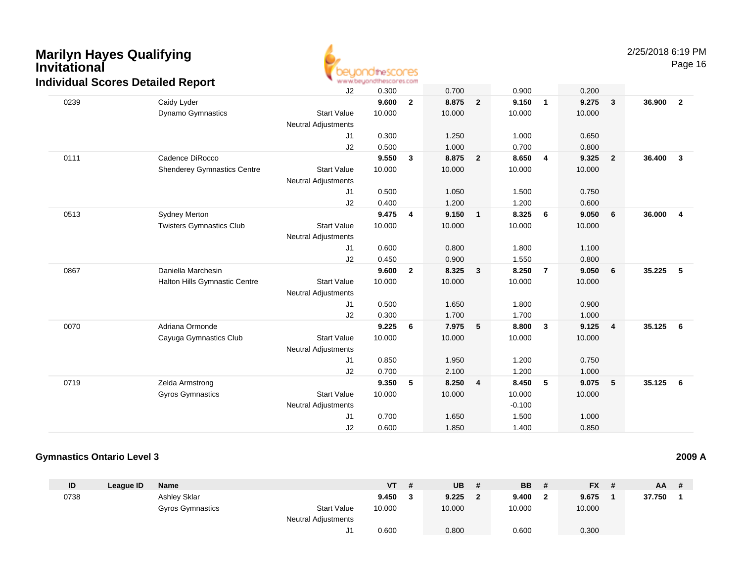

Page 16

|      | $\sim$                             | J2                         | 0.300  |                | 0.700  |                | 0.900    |                | 0.200  |                         |        |                         |
|------|------------------------------------|----------------------------|--------|----------------|--------|----------------|----------|----------------|--------|-------------------------|--------|-------------------------|
| 0239 | Caidy Lyder                        |                            | 9.600  | $\overline{2}$ | 8.875  | $\overline{2}$ | 9.150    | $\mathbf{1}$   | 9.275  | $\overline{\mathbf{3}}$ | 36.900 | $\overline{2}$          |
|      | <b>Dynamo Gymnastics</b>           | <b>Start Value</b>         | 10.000 |                | 10.000 |                | 10.000   |                | 10.000 |                         |        |                         |
|      |                                    | <b>Neutral Adjustments</b> |        |                |        |                |          |                |        |                         |        |                         |
|      |                                    | J1                         | 0.300  |                | 1.250  |                | 1.000    |                | 0.650  |                         |        |                         |
|      |                                    | J2                         | 0.500  |                | 1.000  |                | 0.700    |                | 0.800  |                         |        |                         |
| 0111 | Cadence DiRocco                    |                            | 9.550  | 3              | 8.875  | $\overline{2}$ | 8.650    | 4              | 9.325  | $\overline{\mathbf{2}}$ | 36.400 | $\overline{\mathbf{3}}$ |
|      | <b>Shenderey Gymnastics Centre</b> | <b>Start Value</b>         | 10.000 |                | 10.000 |                | 10.000   |                | 10.000 |                         |        |                         |
|      |                                    | <b>Neutral Adjustments</b> |        |                |        |                |          |                |        |                         |        |                         |
|      |                                    | J1                         | 0.500  |                | 1.050  |                | 1.500    |                | 0.750  |                         |        |                         |
|      |                                    | J2                         | 0.400  |                | 1.200  |                | 1.200    |                | 0.600  |                         |        |                         |
| 0513 | Sydney Merton                      |                            | 9.475  | $\overline{4}$ | 9.150  | $\mathbf{1}$   | 8.325    | 6              | 9.050  | 6                       | 36.000 | $\overline{4}$          |
|      | <b>Twisters Gymnastics Club</b>    | <b>Start Value</b>         | 10.000 |                | 10.000 |                | 10.000   |                | 10.000 |                         |        |                         |
|      |                                    | <b>Neutral Adjustments</b> |        |                |        |                |          |                |        |                         |        |                         |
|      |                                    | J1                         | 0.600  |                | 0.800  |                | 1.800    |                | 1.100  |                         |        |                         |
|      |                                    | J2                         | 0.450  |                | 0.900  |                | 1.550    |                | 0.800  |                         |        |                         |
| 0867 | Daniella Marchesin                 |                            | 9.600  | $\overline{2}$ | 8.325  | 3              | 8.250    | $\overline{7}$ | 9.050  | 6                       | 35.225 | - 5                     |
|      | Halton Hills Gymnastic Centre      | <b>Start Value</b>         | 10.000 |                | 10.000 |                | 10.000   |                | 10.000 |                         |        |                         |
|      |                                    | <b>Neutral Adjustments</b> |        |                |        |                |          |                |        |                         |        |                         |
|      |                                    | J1                         | 0.500  |                | 1.650  |                | 1.800    |                | 0.900  |                         |        |                         |
|      |                                    | J2                         | 0.300  |                | 1.700  |                | 1.700    |                | 1.000  |                         |        |                         |
| 0070 | Adriana Ormonde                    |                            | 9.225  | 6              | 7.975  | 5              | 8.800    | $\mathbf{3}$   | 9.125  | $\overline{\mathbf{4}}$ | 35.125 | 6                       |
|      | Cayuga Gymnastics Club             | <b>Start Value</b>         | 10.000 |                | 10.000 |                | 10.000   |                | 10.000 |                         |        |                         |
|      |                                    | <b>Neutral Adjustments</b> |        |                |        |                |          |                |        |                         |        |                         |
|      |                                    | J1                         | 0.850  |                | 1.950  |                | 1.200    |                | 0.750  |                         |        |                         |
|      |                                    | J2                         | 0.700  |                | 2.100  |                | 1.200    |                | 1.000  |                         |        |                         |
| 0719 | Zelda Armstrong                    |                            | 9.350  | 5              | 8.250  | 4              | 8.450    | 5              | 9.075  | 5                       | 35.125 | 6                       |
|      | Gyros Gymnastics                   | <b>Start Value</b>         | 10.000 |                | 10.000 |                | 10.000   |                | 10.000 |                         |        |                         |
|      |                                    | <b>Neutral Adjustments</b> |        |                |        |                | $-0.100$ |                |        |                         |        |                         |
|      |                                    | J <sub>1</sub>             | 0.700  |                | 1.650  |                | 1.500    |                | 1.000  |                         |        |                         |
|      |                                    | J2                         | 0.600  |                | 1.850  |                | 1.400    |                | 0.850  |                         |        |                         |

#### **Gymnastics Ontario Level 3**

| ID   | League ID | Name             |                            | VT     | -# | UB     | <b>BB</b> | <b>FX</b> | AA.    | # |
|------|-----------|------------------|----------------------------|--------|----|--------|-----------|-----------|--------|---|
| 0738 |           | Ashley Sklar     |                            | 9.450  |    | 9.225  | 9.400     | 9.675     | 37.750 |   |
|      |           | Gyros Gymnastics | <b>Start Value</b>         | 10.000 |    | 10.000 | 10.000    | 10.000    |        |   |
|      |           |                  | <b>Neutral Adjustments</b> |        |    |        |           |           |        |   |
|      |           |                  | ັບ                         | 0.600  |    | 0.800  | 0.600     | 0.300     |        |   |

**2009 A**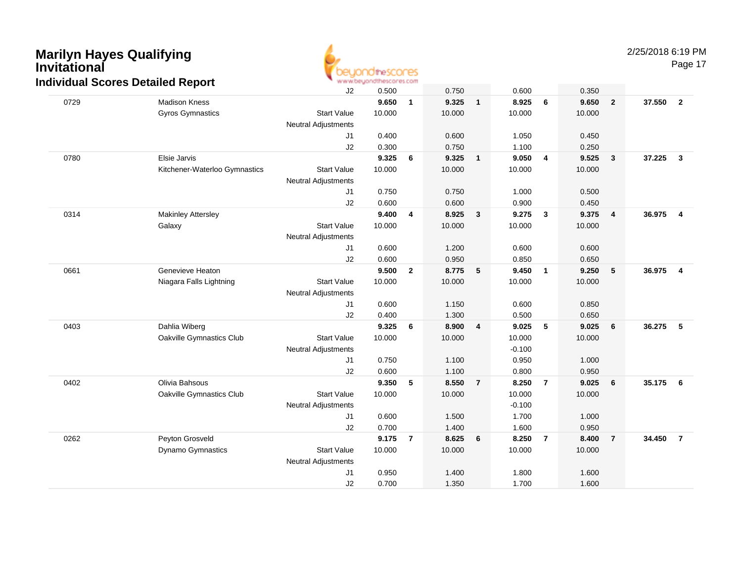

Page 17

|      | a: 000:00 Dotanoa : 10po: 1   | J2                         | 0.500  |                | 0.750  |                | 0.600    |                | 0.350  |                         |        |                         |
|------|-------------------------------|----------------------------|--------|----------------|--------|----------------|----------|----------------|--------|-------------------------|--------|-------------------------|
| 0729 | <b>Madison Kness</b>          |                            | 9.650  | $\mathbf{1}$   | 9.325  | $\mathbf{1}$   | 8.925    | 6              | 9.650  | $\overline{2}$          | 37.550 | $\overline{\mathbf{2}}$ |
|      | Gyros Gymnastics              | <b>Start Value</b>         | 10.000 |                | 10.000 |                | 10.000   |                | 10.000 |                         |        |                         |
|      |                               | <b>Neutral Adjustments</b> |        |                |        |                |          |                |        |                         |        |                         |
|      |                               | J1                         | 0.400  |                | 0.600  |                | 1.050    |                | 0.450  |                         |        |                         |
|      |                               | J2                         | 0.300  |                | 0.750  |                | 1.100    |                | 0.250  |                         |        |                         |
| 0780 | Elsie Jarvis                  |                            | 9.325  | 6              | 9.325  | $\mathbf{1}$   | 9.050    | 4              | 9.525  | $\overline{\mathbf{3}}$ | 37.225 | $\mathbf{3}$            |
|      | Kitchener-Waterloo Gymnastics | <b>Start Value</b>         | 10.000 |                | 10.000 |                | 10.000   |                | 10.000 |                         |        |                         |
|      |                               | <b>Neutral Adjustments</b> |        |                |        |                |          |                |        |                         |        |                         |
|      |                               | J <sub>1</sub>             | 0.750  |                | 0.750  |                | 1.000    |                | 0.500  |                         |        |                         |
|      |                               | J2                         | 0.600  |                | 0.600  |                | 0.900    |                | 0.450  |                         |        |                         |
| 0314 | <b>Makinley Attersley</b>     |                            | 9.400  | 4              | 8.925  | 3              | 9.275    | $\mathbf{3}$   | 9.375  | $\overline{4}$          | 36.975 | $\overline{4}$          |
|      | Galaxy                        | <b>Start Value</b>         | 10.000 |                | 10.000 |                | 10.000   |                | 10.000 |                         |        |                         |
|      |                               | <b>Neutral Adjustments</b> |        |                |        |                |          |                |        |                         |        |                         |
|      |                               | J <sub>1</sub>             | 0.600  |                | 1.200  |                | 0.600    |                | 0.600  |                         |        |                         |
|      |                               | J2                         | 0.600  |                | 0.950  |                | 0.850    |                | 0.650  |                         |        |                         |
| 0661 | Genevieve Heaton              |                            | 9.500  | $\overline{2}$ | 8.775  | 5              | 9.450    | $\mathbf{1}$   | 9.250  | 5                       | 36.975 | $\overline{4}$          |
|      | Niagara Falls Lightning       | <b>Start Value</b>         | 10.000 |                | 10.000 |                | 10.000   |                | 10.000 |                         |        |                         |
|      |                               | <b>Neutral Adjustments</b> |        |                |        |                |          |                |        |                         |        |                         |
|      |                               | J <sub>1</sub>             | 0.600  |                | 1.150  |                | 0.600    |                | 0.850  |                         |        |                         |
|      |                               | J2                         | 0.400  |                | 1.300  |                | 0.500    |                | 0.650  |                         |        |                         |
| 0403 | Dahlia Wiberg                 |                            | 9.325  | 6              | 8.900  | 4              | 9.025    | 5              | 9.025  | $6\phantom{1}6$         | 36.275 | 5                       |
|      | Oakville Gymnastics Club      | <b>Start Value</b>         | 10.000 |                | 10.000 |                | 10.000   |                | 10.000 |                         |        |                         |
|      |                               | <b>Neutral Adjustments</b> |        |                |        |                | $-0.100$ |                |        |                         |        |                         |
|      |                               | J <sub>1</sub>             | 0.750  |                | 1.100  |                | 0.950    |                | 1.000  |                         |        |                         |
|      |                               | J2                         | 0.600  |                | 1.100  |                | 0.800    |                | 0.950  |                         |        |                         |
| 0402 | Olivia Bahsous                |                            | 9.350  | 5              | 8.550  | $\overline{7}$ | 8.250    | $\overline{7}$ | 9.025  | 6                       | 35.175 | - 6                     |
|      | Oakville Gymnastics Club      | <b>Start Value</b>         | 10.000 |                | 10.000 |                | 10.000   |                | 10.000 |                         |        |                         |
|      |                               | <b>Neutral Adjustments</b> |        |                |        |                | $-0.100$ |                |        |                         |        |                         |
|      |                               | J <sub>1</sub>             | 0.600  |                | 1.500  |                | 1.700    |                | 1.000  |                         |        |                         |
|      |                               | J2                         | 0.700  |                | 1.400  |                | 1.600    |                | 0.950  |                         |        |                         |
| 0262 | Peyton Grosveld               |                            | 9.175  | $\overline{7}$ | 8.625  | 6              | 8.250    | $\overline{7}$ | 8.400  | $\overline{7}$          | 34.450 | $\overline{7}$          |
|      | <b>Dynamo Gymnastics</b>      | <b>Start Value</b>         | 10.000 |                | 10.000 |                | 10.000   |                | 10.000 |                         |        |                         |
|      |                               | <b>Neutral Adjustments</b> |        |                |        |                |          |                |        |                         |        |                         |
|      |                               | J1                         | 0.950  |                | 1.400  |                | 1.800    |                | 1.600  |                         |        |                         |
|      |                               | J2                         | 0.700  |                | 1.350  |                | 1.700    |                | 1.600  |                         |        |                         |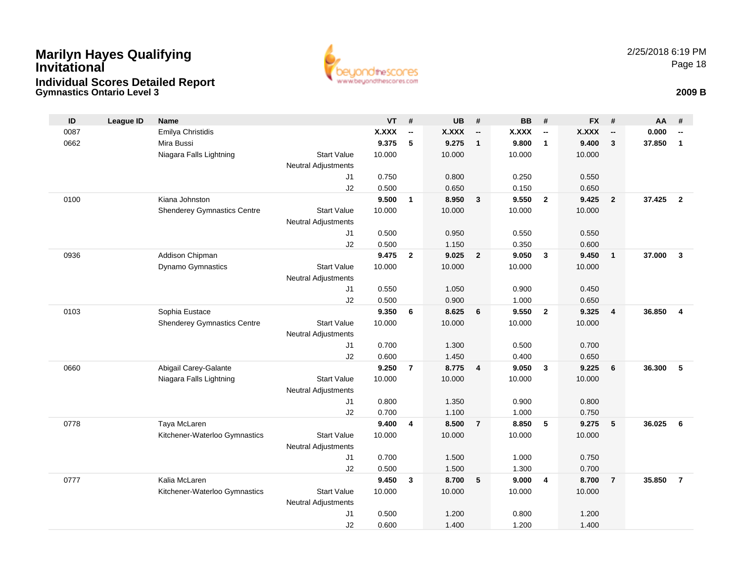### **Gymnastics Ontario Level 3 2009 BMarilyn Hayes Qualifying InvitationalIndividual Scores Detailed Report**



| ID   | <b>League ID</b> | <b>Name</b>                        |                            | <b>VT</b>    | #                        | <b>UB</b>    | #                        | <b>BB</b>    | #                        | <b>FX</b>    | #                        | AA     | #                        |
|------|------------------|------------------------------------|----------------------------|--------------|--------------------------|--------------|--------------------------|--------------|--------------------------|--------------|--------------------------|--------|--------------------------|
| 0087 |                  | Emilya Christidis                  |                            | <b>X.XXX</b> | $\overline{\phantom{a}}$ | <b>X.XXX</b> | $\overline{\phantom{a}}$ | <b>X.XXX</b> | $\overline{\phantom{a}}$ | <b>X.XXX</b> | $\overline{\phantom{a}}$ | 0.000  | $\overline{\phantom{a}}$ |
| 0662 |                  | Mira Bussi                         |                            | 9.375        | 5                        | 9.275        | $\overline{1}$           | 9.800        | $\overline{1}$           | 9.400        | $\mathbf{3}$             | 37.850 | $\mathbf{1}$             |
|      |                  | Niagara Falls Lightning            | <b>Start Value</b>         | 10.000       |                          | 10.000       |                          | 10.000       |                          | 10.000       |                          |        |                          |
|      |                  |                                    | Neutral Adjustments        |              |                          |              |                          |              |                          |              |                          |        |                          |
|      |                  |                                    | J <sub>1</sub>             | 0.750        |                          | 0.800        |                          | 0.250        |                          | 0.550        |                          |        |                          |
|      |                  |                                    | J2                         | 0.500        |                          | 0.650        |                          | 0.150        |                          | 0.650        |                          |        |                          |
| 0100 |                  | Kiana Johnston                     |                            | 9.500        | $\mathbf{1}$             | 8.950        | $\overline{\mathbf{3}}$  | 9.550        | $\overline{\mathbf{2}}$  | 9.425        | $\overline{2}$           | 37.425 | $\overline{2}$           |
|      |                  | <b>Shenderey Gymnastics Centre</b> | <b>Start Value</b>         | 10.000       |                          | 10.000       |                          | 10.000       |                          | 10.000       |                          |        |                          |
|      |                  |                                    | Neutral Adjustments        |              |                          |              |                          |              |                          |              |                          |        |                          |
|      |                  |                                    | J1                         | 0.500        |                          | 0.950        |                          | 0.550        |                          | 0.550        |                          |        |                          |
|      |                  |                                    | J2                         | 0.500        |                          | 1.150        |                          | 0.350        |                          | 0.600        |                          |        |                          |
| 0936 |                  | Addison Chipman                    |                            | 9.475        | $\overline{2}$           | 9.025        | $\overline{2}$           | 9.050        | $\mathbf{3}$             | 9.450        | $\mathbf{1}$             | 37.000 | $\mathbf{3}$             |
|      |                  | Dynamo Gymnastics                  | <b>Start Value</b>         | 10.000       |                          | 10.000       |                          | 10.000       |                          | 10.000       |                          |        |                          |
|      |                  |                                    | Neutral Adjustments        |              |                          |              |                          |              |                          |              |                          |        |                          |
|      |                  |                                    | J1                         | 0.550        |                          | 1.050        |                          | 0.900        |                          | 0.450        |                          |        |                          |
|      |                  |                                    | J2                         | 0.500        |                          | 0.900        |                          | 1.000        |                          | 0.650        |                          |        |                          |
| 0103 |                  | Sophia Eustace                     |                            | 9.350        | 6                        | 8.625        | 6                        | 9.550        | $\overline{\mathbf{2}}$  | 9.325        | $\overline{\mathbf{4}}$  | 36.850 | 4                        |
|      |                  | <b>Shenderey Gymnastics Centre</b> | <b>Start Value</b>         | 10.000       |                          | 10.000       |                          | 10.000       |                          | 10.000       |                          |        |                          |
|      |                  |                                    | <b>Neutral Adjustments</b> |              |                          |              |                          |              |                          |              |                          |        |                          |
|      |                  |                                    | J1                         | 0.700        |                          | 1.300        |                          | 0.500        |                          | 0.700        |                          |        |                          |
|      |                  |                                    | J2                         | 0.600        |                          | 1.450        |                          | 0.400        |                          | 0.650        |                          |        |                          |
| 0660 |                  | Abigail Carey-Galante              |                            | 9.250        | $\overline{7}$           | 8.775        | $\overline{4}$           | 9.050        | $\overline{\mathbf{3}}$  | 9.225        | 6                        | 36,300 | 5                        |
|      |                  | Niagara Falls Lightning            | <b>Start Value</b>         | 10.000       |                          | 10.000       |                          | 10.000       |                          | 10.000       |                          |        |                          |
|      |                  |                                    | <b>Neutral Adjustments</b> |              |                          |              |                          |              |                          |              |                          |        |                          |
|      |                  |                                    | J <sub>1</sub>             | 0.800        |                          | 1.350        |                          | 0.900        |                          | 0.800        |                          |        |                          |
|      |                  |                                    | J2                         | 0.700        |                          | 1.100        |                          | 1.000        |                          | 0.750        |                          |        |                          |
| 0778 |                  | Taya McLaren                       |                            | 9.400        | 4                        | 8.500        | $\overline{7}$           | 8.850        | 5                        | 9.275        | 5                        | 36.025 | 6                        |
|      |                  | Kitchener-Waterloo Gymnastics      | <b>Start Value</b>         | 10.000       |                          | 10.000       |                          | 10.000       |                          | 10.000       |                          |        |                          |
|      |                  |                                    | <b>Neutral Adjustments</b> |              |                          |              |                          |              |                          |              |                          |        |                          |
|      |                  |                                    | J <sub>1</sub>             | 0.700        |                          | 1.500        |                          | 1.000        |                          | 0.750        |                          |        |                          |
|      |                  |                                    | J2                         | 0.500        |                          | 1.500        |                          | 1.300        |                          | 0.700        |                          |        |                          |
| 0777 |                  | Kalia McLaren                      |                            | 9.450        | 3                        | 8.700        | $5\phantom{.0}$          | 9.000        | 4                        | 8.700        | $\overline{7}$           | 35.850 | $\overline{7}$           |
|      |                  | Kitchener-Waterloo Gymnastics      | <b>Start Value</b>         | 10.000       |                          | 10.000       |                          | 10.000       |                          | 10.000       |                          |        |                          |
|      |                  |                                    | <b>Neutral Adjustments</b> |              |                          |              |                          |              |                          |              |                          |        |                          |
|      |                  |                                    | J <sub>1</sub>             | 0.500        |                          | 1.200        |                          | 0.800        |                          | 1.200        |                          |        |                          |
|      |                  |                                    | J2                         | 0.600        |                          | 1.400        |                          | 1.200        |                          | 1.400        |                          |        |                          |